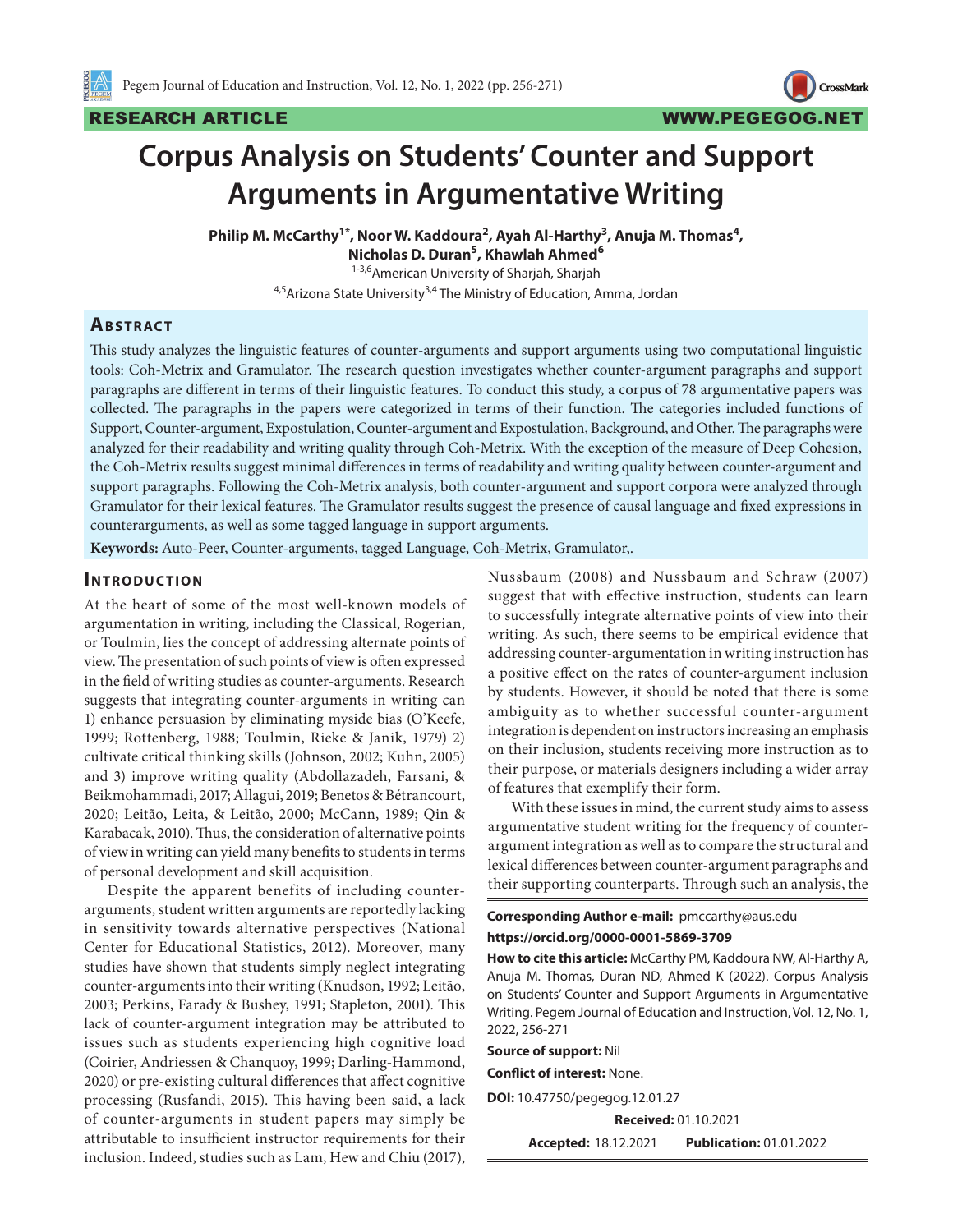**CrossMark** 

# **Corpus Analysis on Students' Counter and Support Arguments in Argumentative Writing**

Philip M. McCarthy<sup>1\*</sup>, Noor W. Kaddoura<sup>2</sup>, Ayah Al-Harthy<sup>3</sup>, Anuja M. Thomas<sup>4</sup>, **Nicholas D. Duran5 , Khawlah Ahmed6**

1-3,6 American University of Sharjah, Sharjah

4,5 Arizona State University<sup>3,4</sup> The Ministry of Education, Amma, Jordan

#### **ABSTRACT**

This study analyzes the linguistic features of counter-arguments and support arguments using two computational linguistic tools: Coh-Metrix and Gramulator. The research question investigates whether counter-argument paragraphs and support paragraphs are different in terms of their linguistic features. To conduct this study, a corpus of 78 argumentative papers was collected. The paragraphs in the papers were categorized in terms of their function. The categories included functions of Support, Counter-argument, Expostulation, Counter-argument and Expostulation, Background, and Other. The paragraphs were analyzed for their readability and writing quality through Coh-Metrix. With the exception of the measure of Deep Cohesion, the Coh-Metrix results suggest minimal differences in terms of readability and writing quality between counter-argument and support paragraphs. Following the Coh-Metrix analysis, both counter-argument and support corpora were analyzed through Gramulator for their lexical features. The Gramulator results suggest the presence of causal language and fixed expressions in counterarguments, as well as some tagged language in support arguments.

**Keywords:** Auto-Peer, Counter-arguments, tagged Language, Coh-Metrix, Gramulator,.

#### **INTRODUCTION**

At the heart of some of the most well-known models of argumentation in writing, including the Classical, Rogerian, or Toulmin, lies the concept of addressing alternate points of view. The presentation of such points of view is often expressed in the field of writing studies as counter-arguments. Research suggests that integrating counter-arguments in writing can 1) enhance persuasion by eliminating myside bias (O'Keefe, 1999; Rottenberg, 1988; Toulmin, Rieke & Janik, 1979) 2) cultivate critical thinking skills (Johnson, 2002; Kuhn, 2005) and 3) improve writing quality (Abdollazadeh, Farsani, & Beikmohammadi, 2017; Allagui, 2019; Benetos & Bétrancourt, 2020; Leitão, Leita, & Leitão, 2000; McCann, 1989; Qin & Karabacak, 2010). Thus, the consideration of alternative points of view in writing can yield many benefits to students in terms of personal development and skill acquisition.

Despite the apparent benefits of including counterarguments, student written arguments are reportedly lacking in sensitivity towards alternative perspectives (National Center for Educational Statistics, 2012). Moreover, many studies have shown that students simply neglect integrating counter-arguments into their writing (Knudson, 1992; Leitão, 2003; Perkins, Farady & Bushey, 1991; Stapleton, 2001). This lack of counter-argument integration may be attributed to issues such as students experiencing high cognitive load (Coirier, Andriessen & Chanquoy, 1999; Darling-Hammond, 2020) or pre-existing cultural differences that affect cognitive processing (Rusfandi, 2015). This having been said, a lack of counter-arguments in student papers may simply be attributable to insufficient instructor requirements for their inclusion. Indeed, studies such as Lam, Hew and Chiu (2017),

Nussbaum (2008) and Nussbaum and Schraw (2007) suggest that with effective instruction, students can learn to successfully integrate alternative points of view into their writing. As such, there seems to be empirical evidence that addressing counter-argumentation in writing instruction has a positive effect on the rates of counter-argument inclusion by students. However, it should be noted that there is some ambiguity as to whether successful counter-argument integration is dependent on instructors increasing an emphasis on their inclusion, students receiving more instruction as to their purpose, or materials designers including a wider array of features that exemplify their form.

With these issues in mind, the current study aims to assess argumentative student writing for the frequency of counterargument integration as well as to compare the structural and lexical differences between counter-argument paragraphs and their supporting counterparts. Through such an analysis, the

**Corresponding Author e-mail:** pmccarthy@aus.edu **https://orcid.org/0000-0001-5869-3709** 

**How to cite this article:** McCarthy PM, Kaddoura NW, Al-Harthy A, Anuja M. Thomas, Duran ND, Ahmed K (2022). Corpus Analysis on Students' Counter and Support Arguments in Argumentative Writing. Pegem Journal of Education and Instruction, Vol. 12, No. 1, 2022, 256-271

**Source of support:** Nil

**Conflict of interest:** None.

**DOI:** 10.47750/pegegog.12.01.27

**Received:** 01.10.2021

**Accepted:** 18.12.2021 **Publication:** 01.01.2022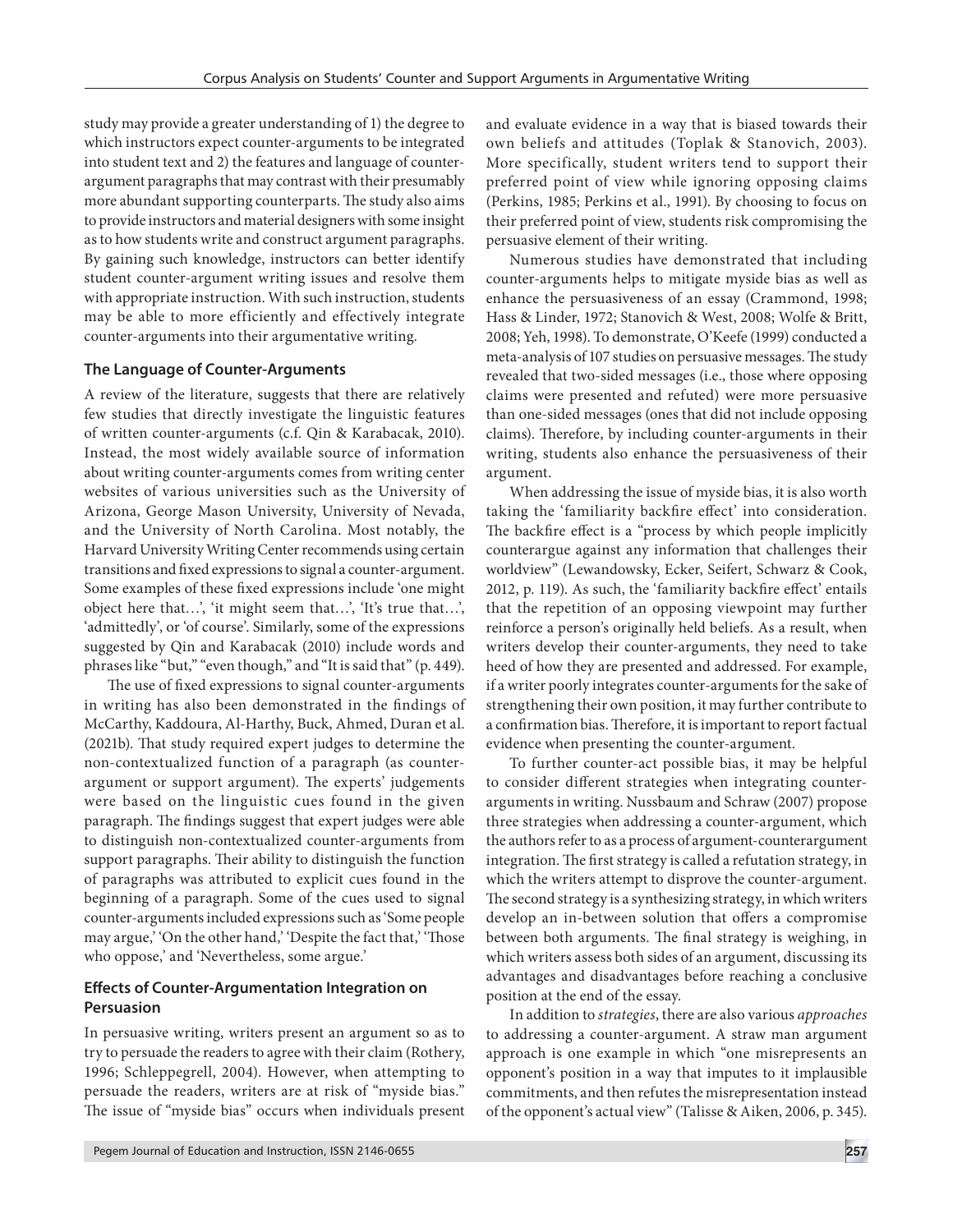study may provide a greater understanding of 1) the degree to which instructors expect counter-arguments to be integrated into student text and 2) the features and language of counterargument paragraphs that may contrast with their presumably more abundant supporting counterparts. The study also aims to provide instructors and material designers with some insight as to how students write and construct argument paragraphs. By gaining such knowledge, instructors can better identify student counter-argument writing issues and resolve them with appropriate instruction. With such instruction, students may be able to more efficiently and effectively integrate counter-arguments into their argumentative writing.

#### **The Language of Counter-Arguments**

A review of the literature, suggests that there are relatively few studies that directly investigate the linguistic features of written counter-arguments (c.f. Qin & Karabacak, 2010). Instead, the most widely available source of information about writing counter-arguments comes from writing center websites of various universities such as the University of Arizona, George Mason University, University of Nevada, and the University of North Carolina. Most notably, the Harvard University Writing Center recommends using certain transitions and fixed expressions to signal a counter-argument. Some examples of these fixed expressions include 'one might object here that…', 'it might seem that…', 'It's true that…', 'admittedly', or 'of course'. Similarly, some of the expressions suggested by Qin and Karabacak (2010) include words and phrases like "but," "even though," and "It is said that" (p. 449).

The use of fixed expressions to signal counter-arguments in writing has also been demonstrated in the findings of McCarthy, Kaddoura, Al-Harthy, Buck, Ahmed, Duran et al. (2021b). That study required expert judges to determine the non-contextualized function of a paragraph (as counterargument or support argument). The experts' judgements were based on the linguistic cues found in the given paragraph. The findings suggest that expert judges were able to distinguish non-contextualized counter-arguments from support paragraphs. Their ability to distinguish the function of paragraphs was attributed to explicit cues found in the beginning of a paragraph. Some of the cues used to signal counter-arguments included expressions such as 'Some people may argue,' 'On the other hand,' 'Despite the fact that,' 'Those who oppose,' and 'Nevertheless, some argue.'

#### **Effects of Counter-Argumentation Integration on Persuasion**

In persuasive writing, writers present an argument so as to try to persuade the readers to agree with their claim (Rothery, 1996; Schleppegrell, 2004). However, when attempting to persuade the readers, writers are at risk of "myside bias." The issue of "myside bias" occurs when individuals present and evaluate evidence in a way that is biased towards their own beliefs and attitudes (Toplak & Stanovich, 2003). More specifically, student writers tend to support their preferred point of view while ignoring opposing claims (Perkins, 1985; Perkins et al., 1991). By choosing to focus on their preferred point of view, students risk compromising the persuasive element of their writing.

Numerous studies have demonstrated that including counter-arguments helps to mitigate myside bias as well as enhance the persuasiveness of an essay (Crammond, 1998; Hass & Linder, 1972; Stanovich & West, 2008; Wolfe & Britt, 2008; Yeh, 1998). To demonstrate, O'Keefe (1999) conducted a meta-analysis of 107 studies on persuasive messages. The study revealed that two-sided messages (i.e., those where opposing claims were presented and refuted) were more persuasive than one-sided messages (ones that did not include opposing claims). Therefore, by including counter-arguments in their writing, students also enhance the persuasiveness of their argument.

When addressing the issue of myside bias, it is also worth taking the 'familiarity backfire effect' into consideration. The backfire effect is a "process by which people implicitly counterargue against any information that challenges their worldview" (Lewandowsky, Ecker, Seifert, Schwarz & Cook, 2012, p. 119). As such, the 'familiarity backfire effect' entails that the repetition of an opposing viewpoint may further reinforce a person's originally held beliefs. As a result, when writers develop their counter-arguments, they need to take heed of how they are presented and addressed. For example, if a writer poorly integrates counter-arguments for the sake of strengthening their own position, it may further contribute to a confirmation bias. Therefore, it is important to report factual evidence when presenting the counter-argument.

To further counter-act possible bias, it may be helpful to consider different strategies when integrating counterarguments in writing. Nussbaum and Schraw (2007) propose three strategies when addressing a counter-argument, which the authors refer to as a process of argument-counterargument integration. The first strategy is called a refutation strategy, in which the writers attempt to disprove the counter-argument. The second strategy is a synthesizing strategy, in which writers develop an in-between solution that offers a compromise between both arguments. The final strategy is weighing, in which writers assess both sides of an argument, discussing its advantages and disadvantages before reaching a conclusive position at the end of the essay.

In addition to *strategies*, there are also various *approaches* to addressing a counter-argument. A straw man argument approach is one example in which "one misrepresents an opponent's position in a way that imputes to it implausible commitments, and then refutes the misrepresentation instead of the opponent's actual view" (Talisse & Aiken, 2006, p. 345).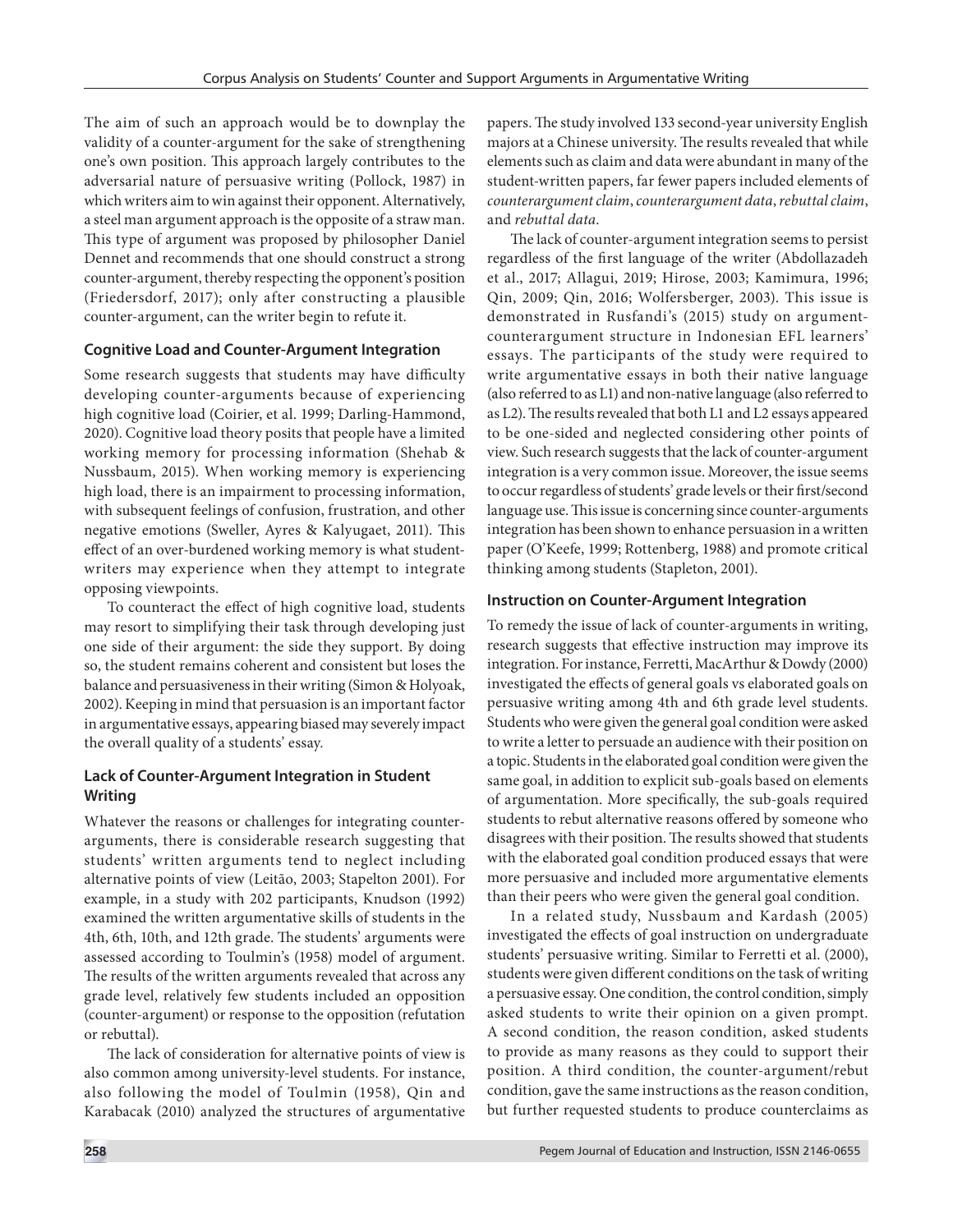The aim of such an approach would be to downplay the validity of a counter-argument for the sake of strengthening one's own position. This approach largely contributes to the adversarial nature of persuasive writing (Pollock, 1987) in which writers aim to win against their opponent. Alternatively, a steel man argument approach is the opposite of a straw man. This type of argument was proposed by philosopher Daniel Dennet and recommends that one should construct a strong counter-argument, thereby respecting the opponent's position (Friedersdorf, 2017); only after constructing a plausible counter-argument, can the writer begin to refute it.

#### **Cognitive Load and Counter-Argument Integration**

Some research suggests that students may have difficulty developing counter-arguments because of experiencing high cognitive load (Coirier, et al. 1999; Darling-Hammond, 2020). Cognitive load theory posits that people have a limited working memory for processing information (Shehab & Nussbaum, 2015). When working memory is experiencing high load, there is an impairment to processing information, with subsequent feelings of confusion, frustration, and other negative emotions (Sweller, Ayres & Kalyugaet, 2011). This effect of an over-burdened working memory is what studentwriters may experience when they attempt to integrate opposing viewpoints.

To counteract the effect of high cognitive load, students may resort to simplifying their task through developing just one side of their argument: the side they support. By doing so, the student remains coherent and consistent but loses the balance and persuasiveness in their writing (Simon & Holyoak, 2002). Keeping in mind that persuasion is an important factor in argumentative essays, appearing biased may severely impact the overall quality of a students' essay.

#### **Lack of Counter-Argument Integration in Student Writing**

Whatever the reasons or challenges for integrating counterarguments, there is considerable research suggesting that students' written arguments tend to neglect including alternative points of view (Leitão, 2003; Stapelton 2001). For example, in a study with 202 participants, Knudson (1992) examined the written argumentative skills of students in the 4th, 6th, 10th, and 12th grade. The students' arguments were assessed according to Toulmin's (1958) model of argument. The results of the written arguments revealed that across any grade level, relatively few students included an opposition (counter-argument) or response to the opposition (refutation or rebuttal).

The lack of consideration for alternative points of view is also common among university-level students. For instance, also following the model of Toulmin (1958), Qin and Karabacak (2010) analyzed the structures of argumentative

papers. The study involved 133 second-year university English majors at a Chinese university. The results revealed that while elements such as claim and data were abundant in many of the student-written papers, far fewer papers included elements of *counterargument claim*, *counterargument data*, *rebuttal claim*, and *rebuttal data*.

The lack of counter-argument integration seems to persist regardless of the first language of the writer (Abdollazadeh et al., 2017; Allagui, 2019; Hirose, 2003; Kamimura, 1996; Qin, 2009; Qin, 2016; Wolfersberger, 2003). This issue is demonstrated in Rusfandi's (2015) study on argumentcounterargument structure in Indonesian EFL learners' essays. The participants of the study were required to write argumentative essays in both their native language (also referred to as L1) and non-native language (also referred to as L2). The results revealed that both L1 and L2 essays appeared to be one-sided and neglected considering other points of view. Such research suggests that the lack of counter-argument integration is a very common issue. Moreover, the issue seems to occur regardless of students' grade levels or their first/second language use. This issue is concerning since counter-arguments integration has been shown to enhance persuasion in a written paper (O'Keefe, 1999; Rottenberg, 1988) and promote critical thinking among students (Stapleton, 2001).

#### **Instruction on Counter-Argument Integration**

To remedy the issue of lack of counter-arguments in writing, research suggests that effective instruction may improve its integration. For instance, Ferretti, MacArthur & Dowdy (2000) investigated the effects of general goals vs elaborated goals on persuasive writing among 4th and 6th grade level students. Students who were given the general goal condition were asked to write a letter to persuade an audience with their position on a topic. Students in the elaborated goal condition were given the same goal, in addition to explicit sub-goals based on elements of argumentation. More specifically, the sub-goals required students to rebut alternative reasons offered by someone who disagrees with their position. The results showed that students with the elaborated goal condition produced essays that were more persuasive and included more argumentative elements than their peers who were given the general goal condition.

In a related study, Nussbaum and Kardash (2005) investigated the effects of goal instruction on undergraduate students' persuasive writing. Similar to Ferretti et al. (2000), students were given different conditions on the task of writing a persuasive essay. One condition, the control condition, simply asked students to write their opinion on a given prompt. A second condition, the reason condition, asked students to provide as many reasons as they could to support their position. A third condition, the counter-argument/rebut condition, gave the same instructions as the reason condition, but further requested students to produce counterclaims as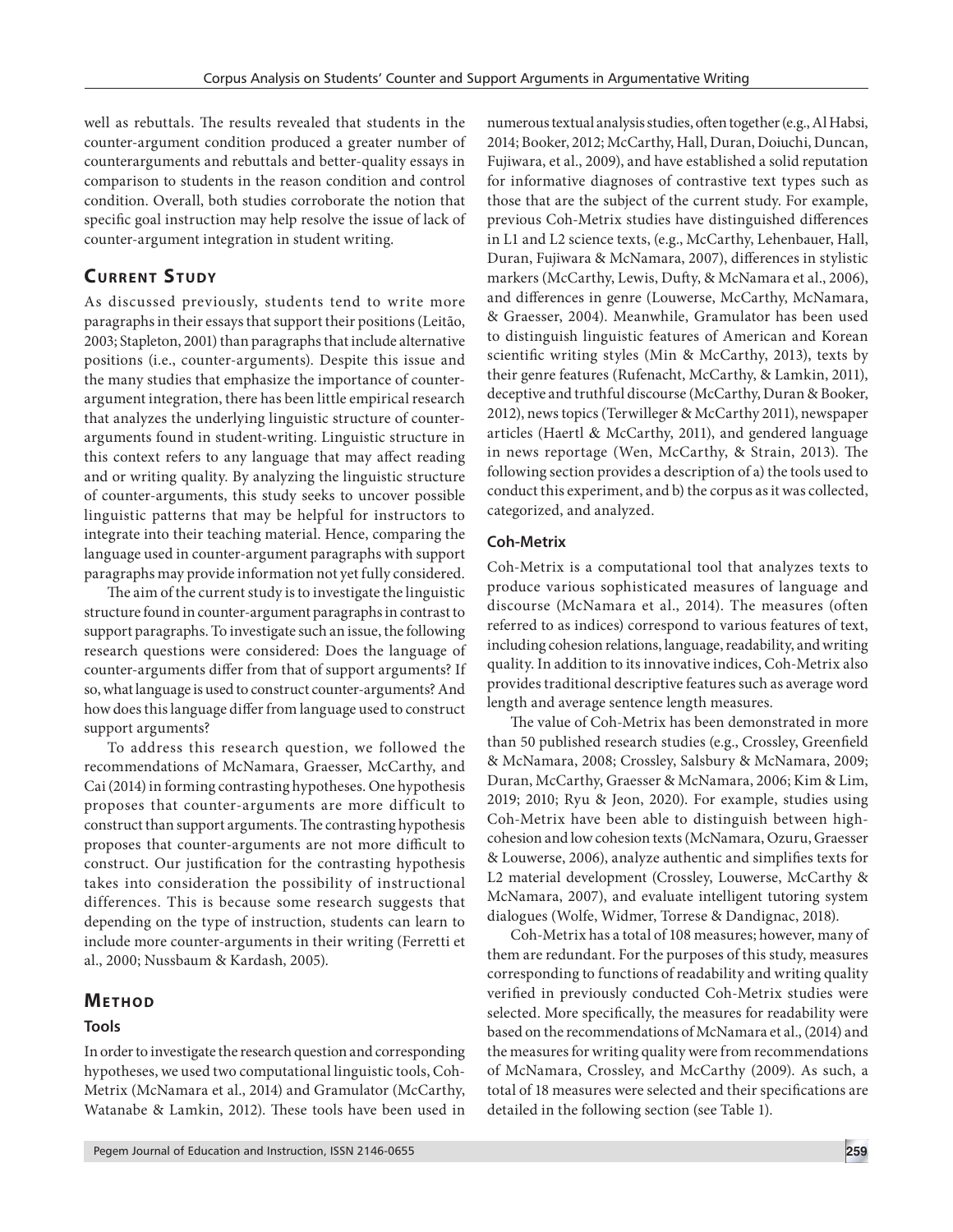well as rebuttals. The results revealed that students in the counter-argument condition produced a greater number of counterarguments and rebuttals and better-quality essays in comparison to students in the reason condition and control condition. Overall, both studies corroborate the notion that specific goal instruction may help resolve the issue of lack of counter-argument integration in student writing.

# **CURRENT STUDY**

As discussed previously, students tend to write more paragraphs in their essays that support their positions (Leitão, 2003; Stapleton, 2001) than paragraphs that include alternative positions (i.e., counter-arguments). Despite this issue and the many studies that emphasize the importance of counterargument integration, there has been little empirical research that analyzes the underlying linguistic structure of counterarguments found in student-writing. Linguistic structure in this context refers to any language that may affect reading and or writing quality. By analyzing the linguistic structure of counter-arguments, this study seeks to uncover possible linguistic patterns that may be helpful for instructors to integrate into their teaching material. Hence, comparing the language used in counter-argument paragraphs with support paragraphs may provide information not yet fully considered.

The aim of the current study is to investigate the linguistic structure found in counter-argument paragraphs in contrast to support paragraphs. To investigate such an issue, the following research questions were considered: Does the language of counter-arguments differ from that of support arguments? If so, what language is used to construct counter-arguments? And how does this language differ from language used to construct support arguments?

To address this research question, we followed the recommendations of McNamara, Graesser, McCarthy, and Cai (2014) in forming contrasting hypotheses. One hypothesis proposes that counter-arguments are more difficult to construct than support arguments. The contrasting hypothesis proposes that counter-arguments are not more difficult to construct. Our justification for the contrasting hypothesis takes into consideration the possibility of instructional differences. This is because some research suggests that depending on the type of instruction, students can learn to include more counter-arguments in their writing (Ferretti et al., 2000; Nussbaum & Kardash, 2005).

#### **METHOD**

#### **Tools**

In order to investigate the research question and corresponding hypotheses, we used two computational linguistic tools, Coh-Metrix (McNamara et al., 2014) and Gramulator (McCarthy, Watanabe & Lamkin, 2012). These tools have been used in

numerous textual analysis studies, often together (e.g., Al Habsi, 2014; Booker, 2012; McCarthy, Hall, Duran, Doiuchi, Duncan, Fujiwara, et al., 2009), and have established a solid reputation for informative diagnoses of contrastive text types such as those that are the subject of the current study. For example, previous Coh-Metrix studies have distinguished differences in L1 and L2 science texts, (e.g., McCarthy, Lehenbauer, Hall, Duran, Fujiwara & McNamara, 2007), differences in stylistic markers (McCarthy, Lewis, Dufty, & McNamara et al., 2006), and differences in genre (Louwerse, McCarthy, McNamara, & Graesser, 2004). Meanwhile, Gramulator has been used to distinguish linguistic features of American and Korean scientific writing styles (Min & McCarthy, 2013), texts by their genre features (Rufenacht, McCarthy, & Lamkin, 2011), deceptive and truthful discourse (McCarthy, Duran & Booker, 2012), news topics (Terwilleger & McCarthy 2011), newspaper articles (Haertl & McCarthy, 2011), and gendered language in news reportage (Wen, McCarthy, & Strain, 2013). The following section provides a description of a) the tools used to conduct this experiment, and b) the corpus as it was collected, categorized, and analyzed.

#### **Coh-Metrix**

Coh-Metrix is a computational tool that analyzes texts to produce various sophisticated measures of language and discourse (McNamara et al., 2014). The measures (often referred to as indices) correspond to various features of text, including cohesion relations, language, readability, and writing quality. In addition to its innovative indices, Coh-Metrix also provides traditional descriptive features such as average word length and average sentence length measures.

The value of Coh-Metrix has been demonstrated in more than 50 published research studies (e.g., Crossley, Greenfield & McNamara, 2008; Crossley, Salsbury & McNamara, 2009; Duran, McCarthy, Graesser & McNamara, 2006; Kim & Lim, 2019; 2010; Ryu & Jeon, 2020). For example, studies using Coh-Metrix have been able to distinguish between highcohesion and low cohesion texts (McNamara, Ozuru, Graesser & Louwerse, 2006), analyze authentic and simplifies texts for L2 material development (Crossley, Louwerse, McCarthy & McNamara, 2007), and evaluate intelligent tutoring system dialogues (Wolfe, Widmer, Torrese & Dandignac, 2018).

Coh-Metrix has a total of 108 measures; however, many of them are redundant. For the purposes of this study, measures corresponding to functions of readability and writing quality verified in previously conducted Coh-Metrix studies were selected. More specifically, the measures for readability were based on the recommendations of McNamara et al., (2014) and the measures for writing quality were from recommendations of McNamara, Crossley, and McCarthy (2009). As such, a total of 18 measures were selected and their specifications are detailed in the following section (see Table 1).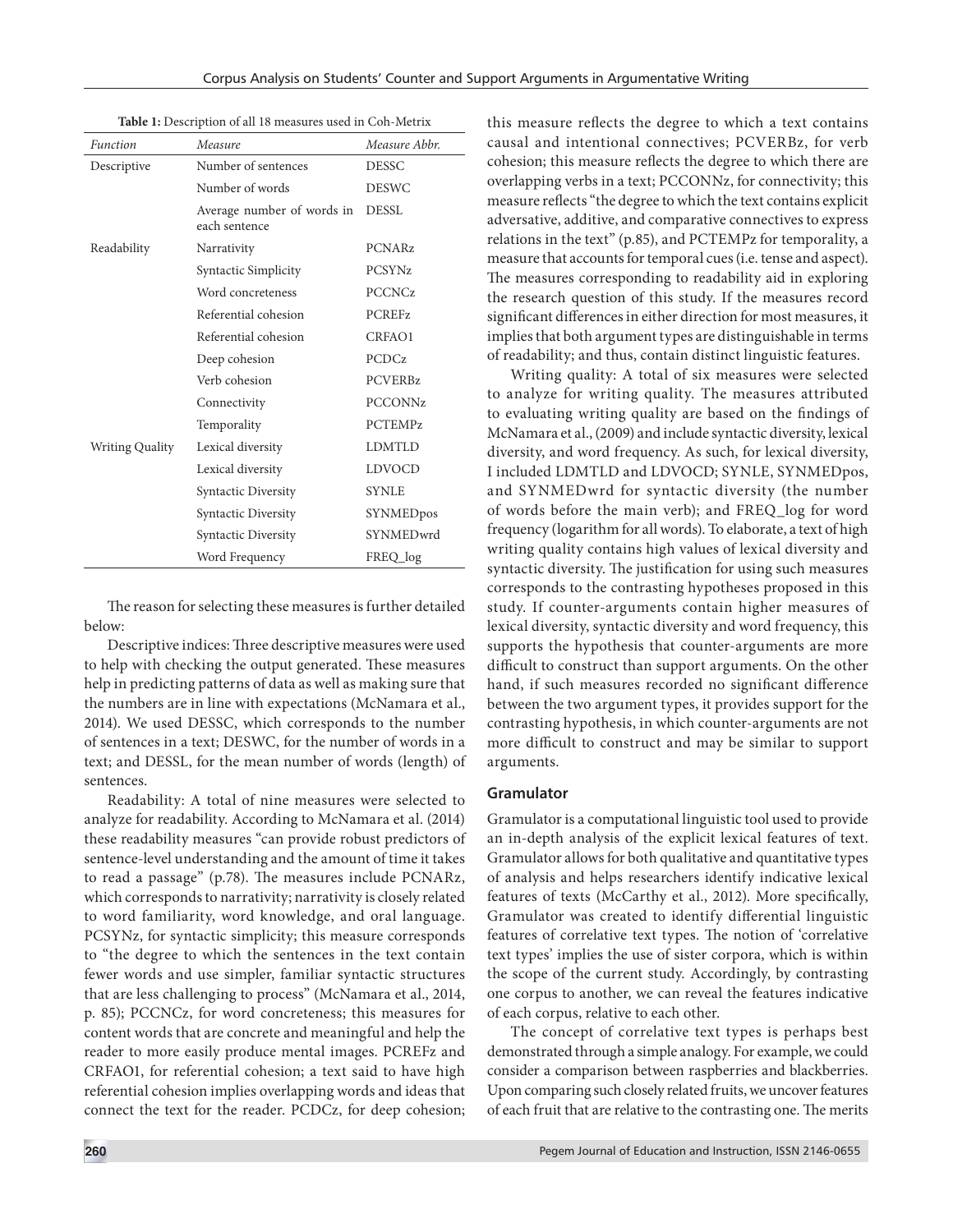| Table 1: Description of all 18 measures used in Coh-Metrix |  |
|------------------------------------------------------------|--|
|------------------------------------------------------------|--|

| Function               | Measure                                     | Measure Abbr.  |
|------------------------|---------------------------------------------|----------------|
| Descriptive            | Number of sentences                         | <b>DESSC</b>   |
|                        | Number of words                             | <b>DESWC</b>   |
|                        | Average number of words in<br>each sentence | <b>DESSL</b>   |
| Readability            | Narrativity                                 | <b>PCNARz</b>  |
|                        | Syntactic Simplicity                        | <b>PCSYNz</b>  |
|                        | Word concreteness                           | <b>PCCNCz</b>  |
|                        | Referential cohesion                        | <b>PCREFz</b>  |
|                        | Referential cohesion                        | CRFAO1         |
|                        | Deep cohesion                               | <b>PCDCz</b>   |
|                        | Verb cohesion                               | <b>PCVERBz</b> |
|                        | Connectivity                                | <b>PCCONNz</b> |
|                        | Temporality                                 | <b>PCTEMPz</b> |
| <b>Writing Quality</b> | Lexical diversity                           | <b>LDMTLD</b>  |
|                        | Lexical diversity                           | <b>LDVOCD</b>  |
|                        | Syntactic Diversity                         | <b>SYNLE</b>   |
|                        | Syntactic Diversity                         | SYNMEDpos      |
|                        | Syntactic Diversity                         | SYNMEDwrd      |
|                        | Word Frequency                              | FREO log       |

The reason for selecting these measures is further detailed below:

Descriptive indices: Three descriptive measures were used to help with checking the output generated. These measures help in predicting patterns of data as well as making sure that the numbers are in line with expectations (McNamara et al., 2014). We used DESSC, which corresponds to the number of sentences in a text; DESWC, for the number of words in a text; and DESSL, for the mean number of words (length) of sentences.

Readability: A total of nine measures were selected to analyze for readability. According to McNamara et al. (2014) these readability measures "can provide robust predictors of sentence-level understanding and the amount of time it takes to read a passage" (p.78). The measures include PCNARz, which corresponds to narrativity; narrativity is closely related to word familiarity, word knowledge, and oral language. PCSYNz, for syntactic simplicity; this measure corresponds to "the degree to which the sentences in the text contain fewer words and use simpler, familiar syntactic structures that are less challenging to process" (McNamara et al., 2014, p. 85); PCCNCz, for word concreteness; this measures for content words that are concrete and meaningful and help the reader to more easily produce mental images. PCREFz and CRFAO1, for referential cohesion; a text said to have high referential cohesion implies overlapping words and ideas that connect the text for the reader. PCDCz, for deep cohesion;

this measure reflects the degree to which a text contains causal and intentional connectives; PCVERBz, for verb cohesion; this measure reflects the degree to which there are overlapping verbs in a text; PCCONNz, for connectivity; this measure reflects "the degree to which the text contains explicit adversative, additive, and comparative connectives to express relations in the text" (p.85), and PCTEMPz for temporality, a measure that accounts for temporal cues (i.e. tense and aspect). The measures corresponding to readability aid in exploring the research question of this study. If the measures record significant differences in either direction for most measures, it implies that both argument types are distinguishable in terms of readability; and thus, contain distinct linguistic features.

Writing quality: A total of six measures were selected to analyze for writing quality. The measures attributed to evaluating writing quality are based on the findings of McNamara et al., (2009) and include syntactic diversity, lexical diversity, and word frequency. As such, for lexical diversity, I included LDMTLD and LDVOCD; SYNLE, SYNMEDpos, and SYNMEDwrd for syntactic diversity (the number of words before the main verb); and FREQ\_log for word frequency (logarithm for all words). To elaborate, a text of high writing quality contains high values of lexical diversity and syntactic diversity. The justification for using such measures corresponds to the contrasting hypotheses proposed in this study. If counter-arguments contain higher measures of lexical diversity, syntactic diversity and word frequency, this supports the hypothesis that counter-arguments are more difficult to construct than support arguments. On the other hand, if such measures recorded no significant difference between the two argument types, it provides support for the contrasting hypothesis, in which counter-arguments are not more difficult to construct and may be similar to support arguments.

#### **Gramulator**

Gramulator is a computational linguistic tool used to provide an in-depth analysis of the explicit lexical features of text. Gramulator allows for both qualitative and quantitative types of analysis and helps researchers identify indicative lexical features of texts (McCarthy et al., 2012). More specifically, Gramulator was created to identify differential linguistic features of correlative text types. The notion of 'correlative text types' implies the use of sister corpora, which is within the scope of the current study. Accordingly, by contrasting one corpus to another, we can reveal the features indicative of each corpus, relative to each other.

The concept of correlative text types is perhaps best demonstrated through a simple analogy. For example, we could consider a comparison between raspberries and blackberries. Upon comparing such closely related fruits, we uncover features of each fruit that are relative to the contrasting one. The merits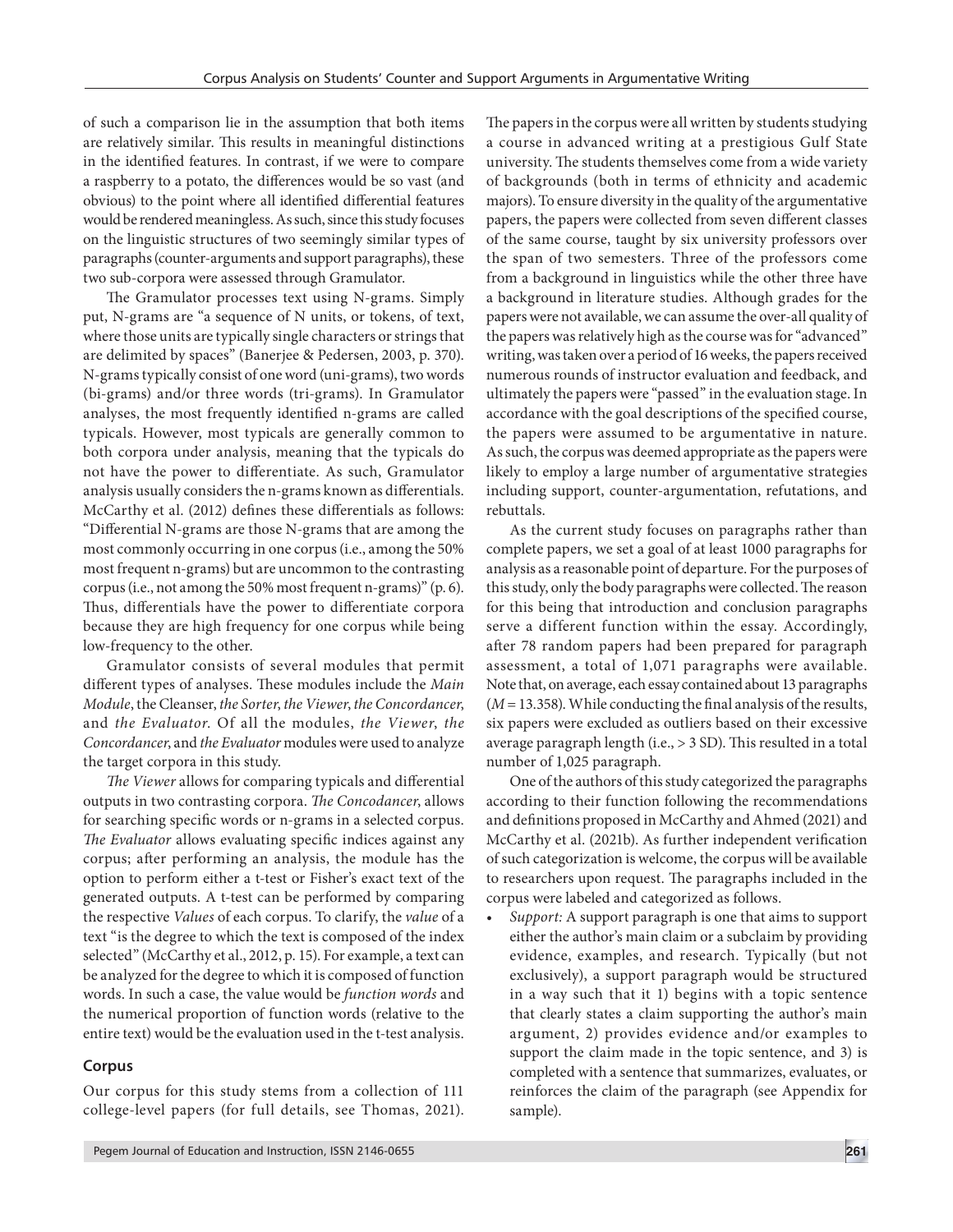of such a comparison lie in the assumption that both items are relatively similar. This results in meaningful distinctions in the identified features. In contrast, if we were to compare a raspberry to a potato, the differences would be so vast (and obvious) to the point where all identified differential features would be rendered meaningless. As such, since this study focuses on the linguistic structures of two seemingly similar types of paragraphs (counter-arguments and support paragraphs), these two sub-corpora were assessed through Gramulator.

The Gramulator processes text using N-grams. Simply put, N-grams are "a sequence of N units, or tokens, of text, where those units are typically single characters or strings that are delimited by spaces" (Banerjee & Pedersen, 2003, p. 370). N-grams typically consist of one word (uni-grams), two words (bi-grams) and/or three words (tri-grams). In Gramulator analyses, the most frequently identified n-grams are called typicals. However, most typicals are generally common to both corpora under analysis, meaning that the typicals do not have the power to differentiate. As such, Gramulator analysis usually considers the n-grams known as differentials. McCarthy et al. (2012) defines these differentials as follows: "Differential N-grams are those N-grams that are among the most commonly occurring in one corpus (i.e., among the 50% most frequent n-grams) but are uncommon to the contrasting corpus (i.e., not among the 50% most frequent n-grams)" (p. 6). Thus, differentials have the power to differentiate corpora because they are high frequency for one corpus while being low-frequency to the other.

Gramulator consists of several modules that permit different types of analyses. These modules include the *Main Module*, the Cleanser, *the Sorter*, *the Viewer*, *the Concordancer*, and *the Evaluator*. Of all the modules, *the Viewer*, *the Concordancer*, and *the Evaluator* modules were used to analyze the target corpora in this study.

*The Viewer* allows for comparing typicals and differential outputs in two contrasting corpora. *The Concodancer*, allows for searching specific words or n-grams in a selected corpus. *The Evaluator* allows evaluating specific indices against any corpus; after performing an analysis, the module has the option to perform either a t-test or Fisher's exact text of the generated outputs. A t-test can be performed by comparing the respective *Values* of each corpus. To clarify, the *value* of a text "is the degree to which the text is composed of the index selected" (McCarthy et al., 2012, p. 15). For example, a text can be analyzed for the degree to which it is composed of function words. In such a case, the value would be *function words* and the numerical proportion of function words (relative to the entire text) would be the evaluation used in the t-test analysis.

#### **Corpus**

Our corpus for this study stems from a collection of 111 college-level papers (for full details, see Thomas, 2021). The papers in the corpus were all written by students studying a course in advanced writing at a prestigious Gulf State university. The students themselves come from a wide variety of backgrounds (both in terms of ethnicity and academic majors). To ensure diversity in the quality of the argumentative papers, the papers were collected from seven different classes of the same course, taught by six university professors over the span of two semesters. Three of the professors come from a background in linguistics while the other three have a background in literature studies. Although grades for the papers were not available, we can assume the over-all quality of the papers was relatively high as the course was for "advanced" writing, was taken over a period of 16 weeks, the papers received numerous rounds of instructor evaluation and feedback, and ultimately the papers were "passed" in the evaluation stage. In accordance with the goal descriptions of the specified course, the papers were assumed to be argumentative in nature. As such, the corpus was deemed appropriate as the papers were likely to employ a large number of argumentative strategies including support, counter-argumentation, refutations, and rebuttals.

As the current study focuses on paragraphs rather than complete papers, we set a goal of at least 1000 paragraphs for analysis as a reasonable point of departure. For the purposes of this study, only the body paragraphs were collected. The reason for this being that introduction and conclusion paragraphs serve a different function within the essay. Accordingly, after 78 random papers had been prepared for paragraph assessment, a total of 1,071 paragraphs were available. Note that, on average, each essay contained about 13 paragraphs  $(M = 13.358)$ . While conducting the final analysis of the results, six papers were excluded as outliers based on their excessive average paragraph length (i.e., > 3 SD). This resulted in a total number of 1,025 paragraph.

One of the authors of this study categorized the paragraphs according to their function following the recommendations and definitions proposed in McCarthy and Ahmed (2021) and McCarthy et al. (2021b). As further independent verification of such categorization is welcome, the corpus will be available to researchers upon request. The paragraphs included in the corpus were labeled and categorized as follows.

*• Support:* A support paragraph is one that aims to support either the author's main claim or a subclaim by providing evidence, examples, and research. Typically (but not exclusively), a support paragraph would be structured in a way such that it 1) begins with a topic sentence that clearly states a claim supporting the author's main argument, 2) provides evidence and/or examples to support the claim made in the topic sentence, and 3) is completed with a sentence that summarizes, evaluates, or reinforces the claim of the paragraph (see Appendix for sample).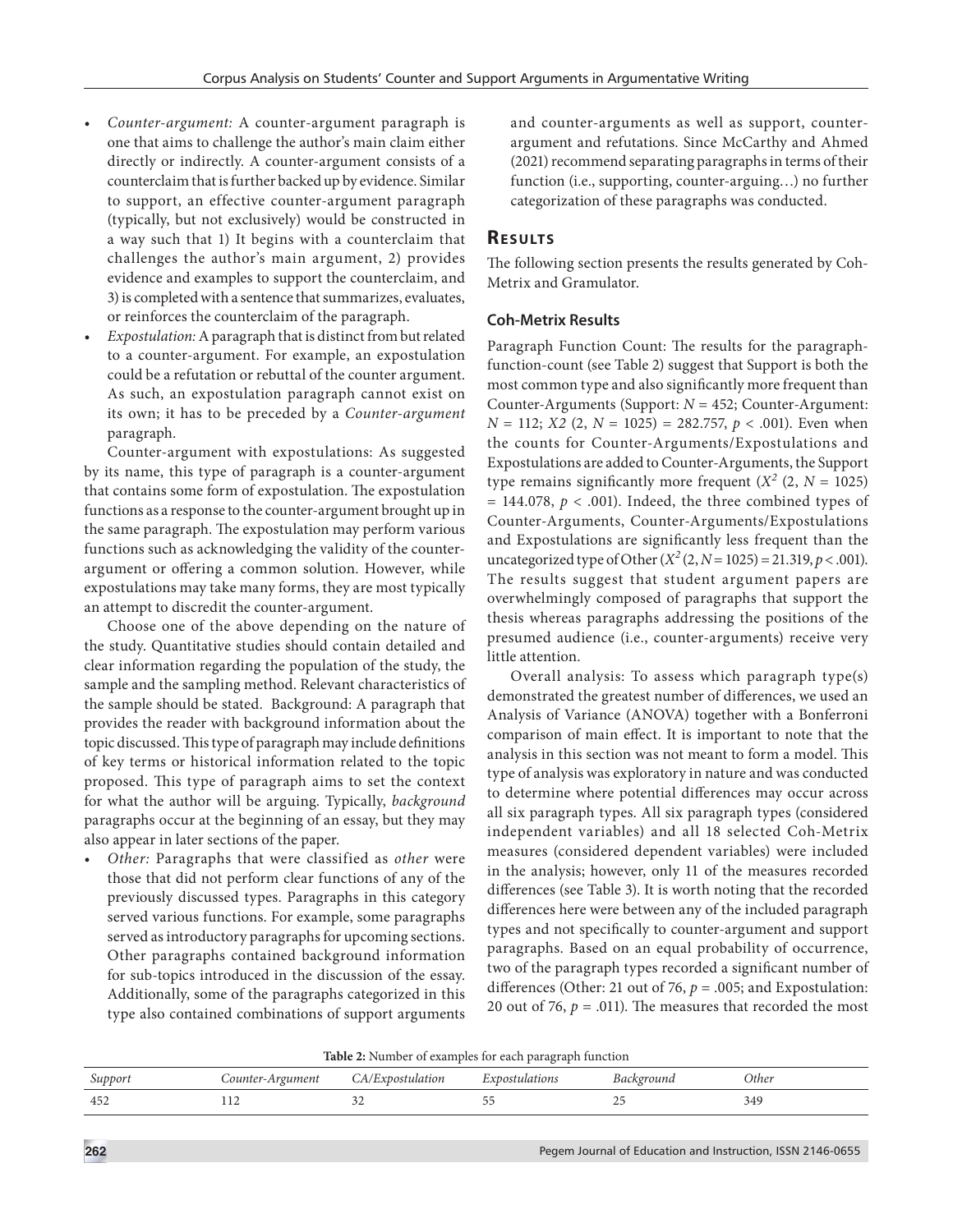- *• Counter-argument:* A counter-argument paragraph is one that aims to challenge the author's main claim either directly or indirectly. A counter-argument consists of a counterclaim that is further backed up by evidence. Similar to support, an effective counter-argument paragraph (typically, but not exclusively) would be constructed in a way such that 1) It begins with a counterclaim that challenges the author's main argument, 2) provides evidence and examples to support the counterclaim, and 3) is completed with a sentence that summarizes, evaluates, or reinforces the counterclaim of the paragraph.
- *• Expostulation:* A paragraph that is distinct from but related to a counter-argument. For example, an expostulation could be a refutation or rebuttal of the counter argument. As such, an expostulation paragraph cannot exist on its own; it has to be preceded by a *Counter-argument* paragraph.

Counter-argument with expostulations: As suggested by its name, this type of paragraph is a counter-argument that contains some form of expostulation. The expostulation functions as a response to the counter-argument brought up in the same paragraph. The expostulation may perform various functions such as acknowledging the validity of the counterargument or offering a common solution. However, while expostulations may take many forms, they are most typically an attempt to discredit the counter-argument.

Choose one of the above depending on the nature of the study. Quantitative studies should contain detailed and clear information regarding the population of the study, the sample and the sampling method. Relevant characteristics of the sample should be stated. Background: A paragraph that provides the reader with background information about the topic discussed. This type of paragraph may include definitions of key terms or historical information related to the topic proposed. This type of paragraph aims to set the context for what the author will be arguing. Typically, *background* paragraphs occur at the beginning of an essay, but they may also appear in later sections of the paper.

*• Other:* Paragraphs that were classified as *other* were those that did not perform clear functions of any of the previously discussed types. Paragraphs in this category served various functions. For example, some paragraphs served as introductory paragraphs for upcoming sections. Other paragraphs contained background information for sub-topics introduced in the discussion of the essay. Additionally, some of the paragraphs categorized in this type also contained combinations of support arguments

and counter-arguments as well as support, counterargument and refutations. Since McCarthy and Ahmed (2021) recommend separating paragraphs in terms of their function (i.e., supporting, counter-arguing…) no further categorization of these paragraphs was conducted.

### **RESULTS**

The following section presents the results generated by Coh-Metrix and Gramulator.

#### **Coh-Metrix Results**

Paragraph Function Count: The results for the paragraphfunction-count (see Table 2) suggest that Support is both the most common type and also significantly more frequent than Counter-Arguments (Support: *N* = 452; Counter-Argument: *N* = 112; *X2* (2, *N* = 1025) = 282.757, *p* < .001). Even when the counts for Counter-Arguments/Expostulations and Expostulations are added to Counter-Arguments, the Support type remains significantly more frequent  $(X^2 (2, N = 1025))$  $= 144.078$ ,  $p < .001$ ). Indeed, the three combined types of Counter-Arguments, Counter-Arguments/Expostulations and Expostulations are significantly less frequent than the uncategorized type of Other  $(X^2(2, N = 1025) = 21.319, p < .001)$ . The results suggest that student argument papers are overwhelmingly composed of paragraphs that support the thesis whereas paragraphs addressing the positions of the presumed audience (i.e., counter-arguments) receive very little attention.

Overall analysis: To assess which paragraph type(s) demonstrated the greatest number of differences, we used an Analysis of Variance (ANOVA) together with a Bonferroni comparison of main effect. It is important to note that the analysis in this section was not meant to form a model. This type of analysis was exploratory in nature and was conducted to determine where potential differences may occur across all six paragraph types. All six paragraph types (considered independent variables) and all 18 selected Coh-Metrix measures (considered dependent variables) were included in the analysis; however, only 11 of the measures recorded differences (see Table 3). It is worth noting that the recorded differences here were between any of the included paragraph types and not specifically to counter-argument and support paragraphs. Based on an equal probability of occurrence, two of the paragraph types recorded a significant number of differences (Other: 21 out of 76,  $p = .005$ ; and Expostulation: 20 out of 76,  $p = .011$ ). The measures that recorded the most

**Table 2:** Number of examples for each paragraph function

| Suppor | rgument<br>0u1. | $\sim$ | tions                         | ackgrouna <i>`</i> | Other             |
|--------|-----------------|--------|-------------------------------|--------------------|-------------------|
| 45∕    | .               | ىدر    | $ -$<br>$\tilde{\phantom{a}}$ | $\sim$<br>$\sim$   | $\Lambda$<br>-947 |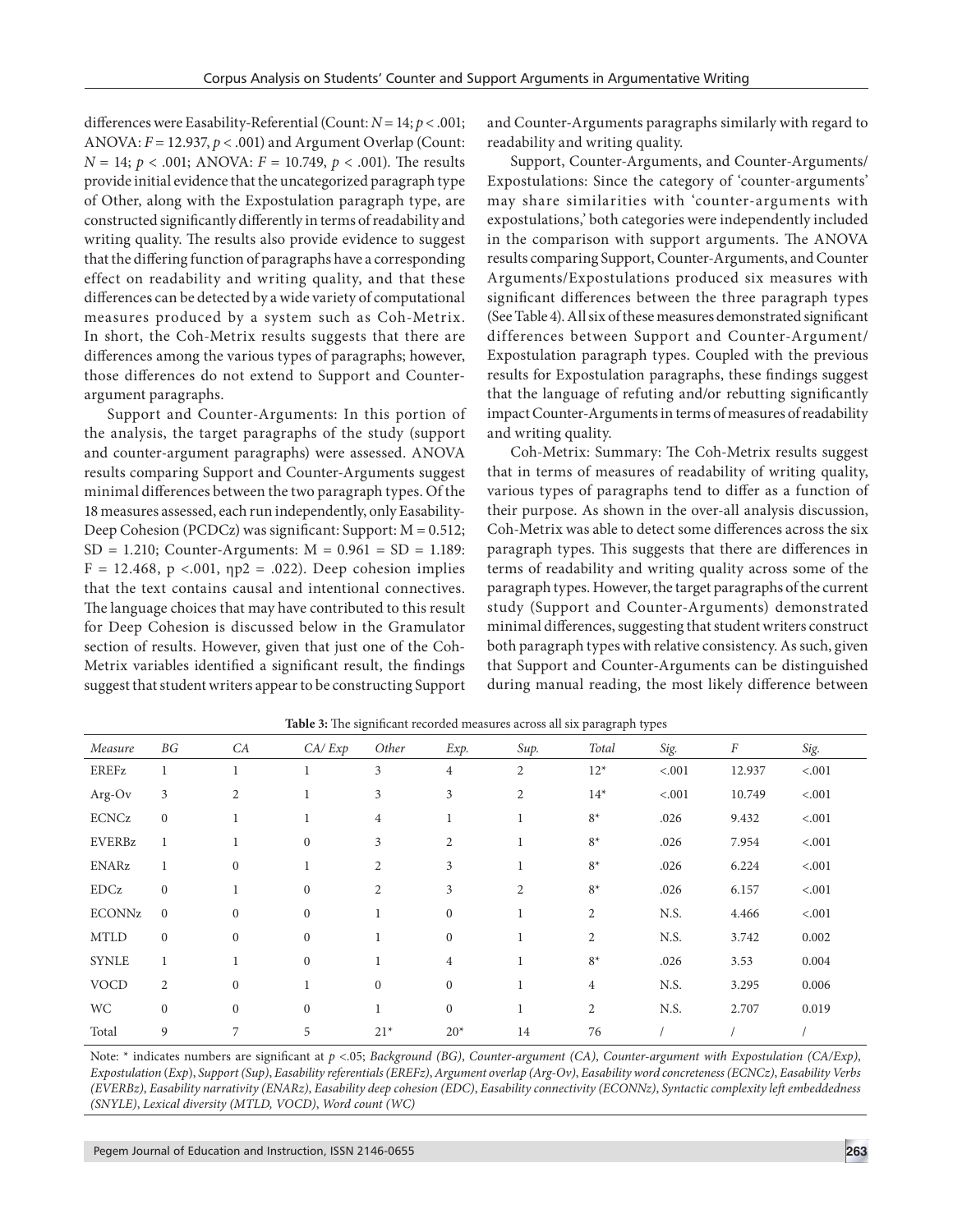differences were Easability-Referential (Count: *N* = 14; *p* < .001; ANOVA: *F* = 12.937, *p* < .001) and Argument Overlap (Count: *N* = 14; *p* < .001; ANOVA: *F* = 10.749, *p* < .001). The results provide initial evidence that the uncategorized paragraph type of Other, along with the Expostulation paragraph type, are constructed significantly differently in terms of readability and writing quality. The results also provide evidence to suggest that the differing function of paragraphs have a corresponding effect on readability and writing quality, and that these differences can be detected by a wide variety of computational measures produced by a system such as Coh-Metrix. In short, the Coh-Metrix results suggests that there are differences among the various types of paragraphs; however, those differences do not extend to Support and Counterargument paragraphs.

Support and Counter-Arguments: In this portion of the analysis, the target paragraphs of the study (support and counter-argument paragraphs) were assessed. ANOVA results comparing Support and Counter-Arguments suggest minimal differences between the two paragraph types. Of the 18 measures assessed, each run independently, only Easability-Deep Cohesion (PCDCz) was significant: Support: M = 0.512;  $SD = 1.210$ ; Counter-Arguments:  $M = 0.961 = SD = 1.189$ :  $F = 12.468$ ,  $p < .001$ ,  $np2 = .022$ ). Deep cohesion implies that the text contains causal and intentional connectives. The language choices that may have contributed to this result for Deep Cohesion is discussed below in the Gramulator section of results. However, given that just one of the Coh-Metrix variables identified a significant result, the findings suggest that student writers appear to be constructing Support and Counter-Arguments paragraphs similarly with regard to readability and writing quality.

Support, Counter-Arguments, and Counter-Arguments/ Expostulations: Since the category of 'counter-arguments' may share similarities with 'counter-arguments with expostulations,' both categories were independently included in the comparison with support arguments. The ANOVA results comparing Support, Counter-Arguments, and Counter Arguments/Expostulations produced six measures with significant differences between the three paragraph types (See Table 4). All six of these measures demonstrated significant differences between Support and Counter-Argument/ Expostulation paragraph types. Coupled with the previous results for Expostulation paragraphs, these findings suggest that the language of refuting and/or rebutting significantly impact Counter-Arguments in terms of measures of readability and writing quality.

Coh-Metrix: Summary: The Coh-Metrix results suggest that in terms of measures of readability of writing quality, various types of paragraphs tend to differ as a function of their purpose. As shown in the over-all analysis discussion, Coh-Metrix was able to detect some differences across the six paragraph types. This suggests that there are differences in terms of readability and writing quality across some of the paragraph types. However, the target paragraphs of the current study (Support and Counter-Arguments) demonstrated minimal differences, suggesting that student writers construct both paragraph types with relative consistency. As such, given that Support and Counter-Arguments can be distinguished during manual reading, the most likely difference between

|               |                |                  |                  |                |                  |                | $\sim$ $\sim$  | . .    |          |         |
|---------------|----------------|------------------|------------------|----------------|------------------|----------------|----------------|--------|----------|---------|
| Measure       | BG             | CA               | CA/Exp           | Other          | Exp.             | Sup.           | Total          | Sig.   | $\cal F$ | Sig.    |
| EREFz         |                |                  |                  | 3              | $\overline{4}$   | 2              | $12*$          | < .001 | 12.937   | < .001  |
| Arg-Ov        | 3              | $\overline{c}$   |                  | 3              | 3                | $\overline{2}$ | $14*$          | < .001 | 10.749   | $-.001$ |
| <b>ECNCz</b>  | $\mathbf{0}$   | $\mathbf{1}$     |                  | $\overline{4}$ |                  | 1              | $8*$           | .026   | 9.432    | $-.001$ |
| <b>EVERBz</b> | 1              | 1                | $\boldsymbol{0}$ | 3              | $\mathfrak{2}$   | 1              | $8*$           | .026   | 7.954    | < .001  |
| <b>ENARz</b>  | 1              | $\boldsymbol{0}$ |                  | 2              | 3                | 1              | $8*$           | .026   | 6.224    | $-.001$ |
| EDCz          | $\mathbf{0}$   | $\mathbf{1}$     | $\mathbf{0}$     | $\overline{2}$ | 3                | $\overline{2}$ | $8*$           | .026   | 6.157    | < .001  |
| <b>ECONNz</b> | $\mathbf{0}$   | $\boldsymbol{0}$ | $\boldsymbol{0}$ | 1              | $\boldsymbol{0}$ | 1              | $\overline{c}$ | N.S.   | 4.466    | < .001  |
| <b>MTLD</b>   | $\mathbf{0}$   | $\mathbf{0}$     | $\mathbf{0}$     | 1              | $\mathbf{0}$     | 1              | $\overline{2}$ | N.S.   | 3.742    | 0.002   |
| <b>SYNLE</b>  | 1              | 1                | $\mathbf{0}$     |                | $\overline{4}$   | 1              | $8*$           | .026   | 3.53     | 0.004   |
| <b>VOCD</b>   | $\overline{2}$ | $\mathbf{0}$     |                  | $\overline{0}$ | $\boldsymbol{0}$ | 1              | $\overline{4}$ | N.S.   | 3.295    | 0.006   |
| <b>WC</b>     | $\mathbf{0}$   | $\mathbf{0}$     | $\mathbf{0}$     | $\perp$        | $\boldsymbol{0}$ | 1              | $\overline{2}$ | N.S.   | 2.707    | 0.019   |
| Total         | 9              | 7                | 5                | $21*$          | $20*$            | 14             | 76             |        |          |         |

**Table 3:** The significant recorded measures across all six paragraph types

Note: \* indicates numbers are significant at *p* <.05; *Background (BG)*, *Counter-argument (CA)*, *Counter-argument with Expostulation (CA/Exp)*, *Expostulation* (*Exp*), *Support (Sup)*, *Easability referentials (EREFz)*, *Argument overlap (Arg-Ov)*, *Easability word concreteness (ECNCz)*, *Easability Verbs (EVERBz)*, *Easability narrativity (ENARz)*, *Easability deep cohesion (EDC)*, *Easability connectivity (ECONNz)*, *Syntactic complexity left embeddedness (SNYLE)*, *Lexical diversity (MTLD, VOCD)*, *Word count (WC)*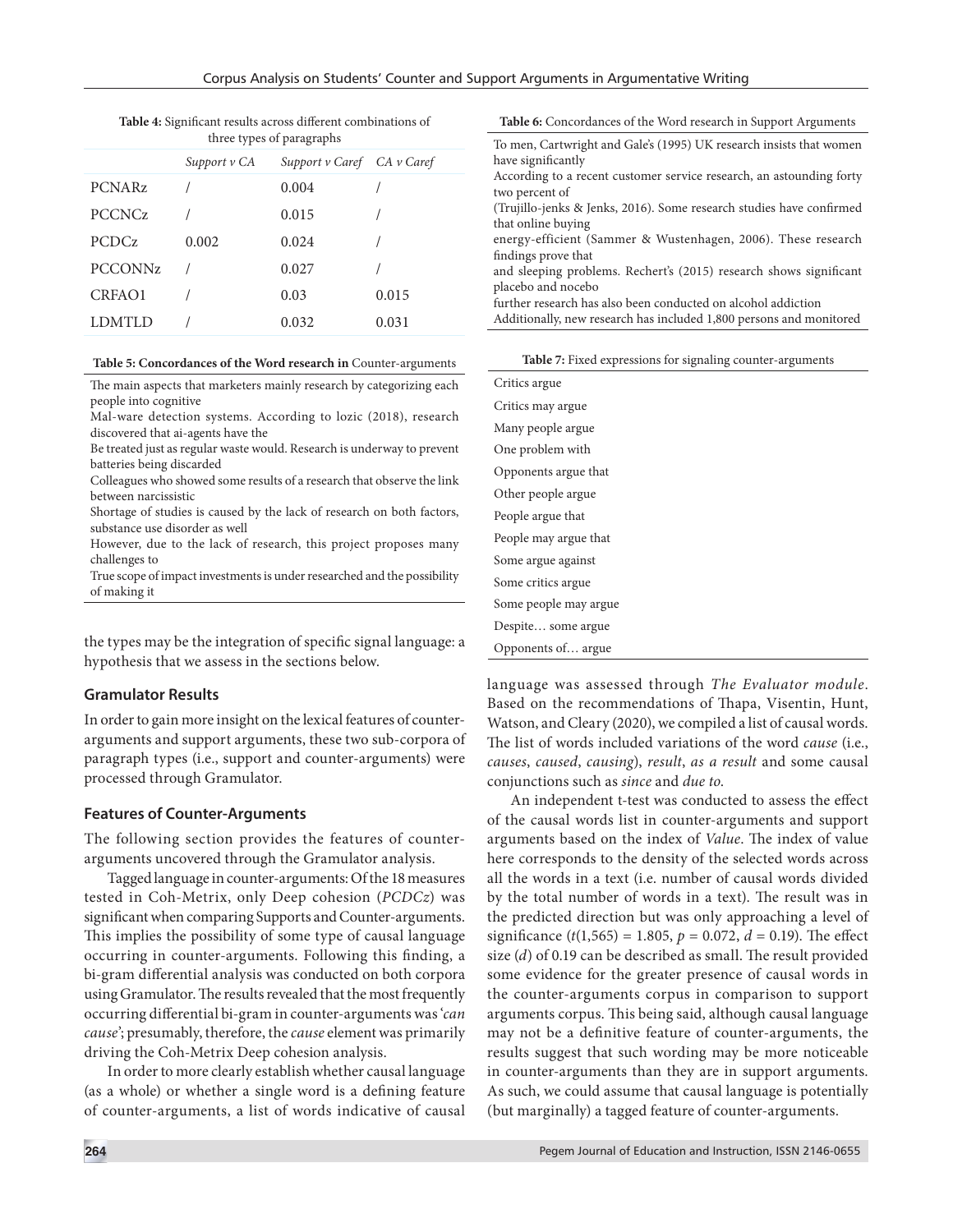| Table 4: Significant results across different combinations of |
|---------------------------------------------------------------|
| three types of paragraphs                                     |

|                |              | unce types of paragraphs   |       |
|----------------|--------------|----------------------------|-------|
|                | Support v CA | Support v Caref CA v Caref |       |
| <b>PCNARz</b>  |              | 0.004                      |       |
| <b>PCCNCz</b>  |              | 0.015                      |       |
| <b>PCDCz</b>   | 0.002        | 0.024                      |       |
| <b>PCCONNz</b> |              | 0.027                      |       |
| CRFAO1         |              | 0.03                       | 0.015 |
| <b>LDMTLD</b>  |              | 0.032                      | 0.031 |
|                |              |                            |       |

#### **Table 5: Concordances of the Word research in** Counter-arguments

The main aspects that marketers mainly research by categorizing each people into cognitive

Mal-ware detection systems. According to lozic (2018), research discovered that ai-agents have the

Be treated just as regular waste would. Research is underway to prevent batteries being discarded

Colleagues who showed some results of a research that observe the link between narcissistic

Shortage of studies is caused by the lack of research on both factors, substance use disorder as well

However, due to the lack of research, this project proposes many challenges to

True scope of impact investments is under researched and the possibility of making it

the types may be the integration of specific signal language: a hypothesis that we assess in the sections below.

#### **Gramulator Results**

In order to gain more insight on the lexical features of counterarguments and support arguments, these two sub-corpora of paragraph types (i.e., support and counter-arguments) were processed through Gramulator.

#### **Features of Counter-Arguments**

The following section provides the features of counterarguments uncovered through the Gramulator analysis.

Tagged language in counter-arguments: Of the 18 measures tested in Coh-Metrix, only Deep cohesion (*PCDCz*) was significant when comparing Supports and Counter-arguments. This implies the possibility of some type of causal language occurring in counter-arguments. Following this finding, a bi-gram differential analysis was conducted on both corpora using Gramulator. The results revealed that the most frequently occurring differential bi-gram in counter-arguments was '*can cause*'; presumably, therefore, the *cause* element was primarily driving the Coh-Metrix Deep cohesion analysis.

In order to more clearly establish whether causal language (as a whole) or whether a single word is a defining feature of counter-arguments, a list of words indicative of causal **Table 6:** Concordances of the Word research in Support Arguments

| To men, Cartwright and Gale's (1995) UK research insists that women  |
|----------------------------------------------------------------------|
| have significantly                                                   |
| According to a recent customer service research, an astounding forty |
| two percent of                                                       |
| (Trujillo-jenks & Jenks, 2016). Some research studies have confirmed |
| that online buying                                                   |
| energy-efficient (Sammer & Wustenhagen, 2006). These research        |
| findings prove that                                                  |
| and sleeping problems. Rechert's (2015) research shows significant   |
| placebo and nocebo                                                   |
| further research has also been conducted on alcohol addiction        |
| Additionally, new research has included 1,800 persons and monitored  |
|                                                                      |

|  |  |  | Table 7: Fixed expressions for signaling counter-arguments |
|--|--|--|------------------------------------------------------------|
|--|--|--|------------------------------------------------------------|

| Critics argue         |
|-----------------------|
| Critics may argue     |
| Many people argue     |
| One problem with      |
| Opponents argue that  |
| Other people argue    |
| People argue that     |
| People may argue that |
| Some argue against    |
| Some critics argue    |
| Some people may argue |
| Despite some argue    |
| Opponents of argue    |

language was assessed through *The Evaluator module*. Based on the recommendations of Thapa, Visentin, Hunt, Watson, and Cleary (2020), we compiled a list of causal words. The list of words included variations of the word *cause* (i.e., *causes*, *caused*, *causing*), *result*, *as a result* and some causal conjunctions such as *since* and *due to*.

An independent t-test was conducted to assess the effect of the causal words list in counter-arguments and support arguments based on the index of *Value*. The index of value here corresponds to the density of the selected words across all the words in a text (i.e. number of causal words divided by the total number of words in a text). The result was in the predicted direction but was only approaching a level of significance  $(t(1,565) = 1.805, p = 0.072, d = 0.19)$ . The effect size (*d*) of 0.19 can be described as small. The result provided some evidence for the greater presence of causal words in the counter-arguments corpus in comparison to support arguments corpus. This being said, although causal language may not be a definitive feature of counter-arguments, the results suggest that such wording may be more noticeable in counter-arguments than they are in support arguments. As such, we could assume that causal language is potentially (but marginally) a tagged feature of counter-arguments.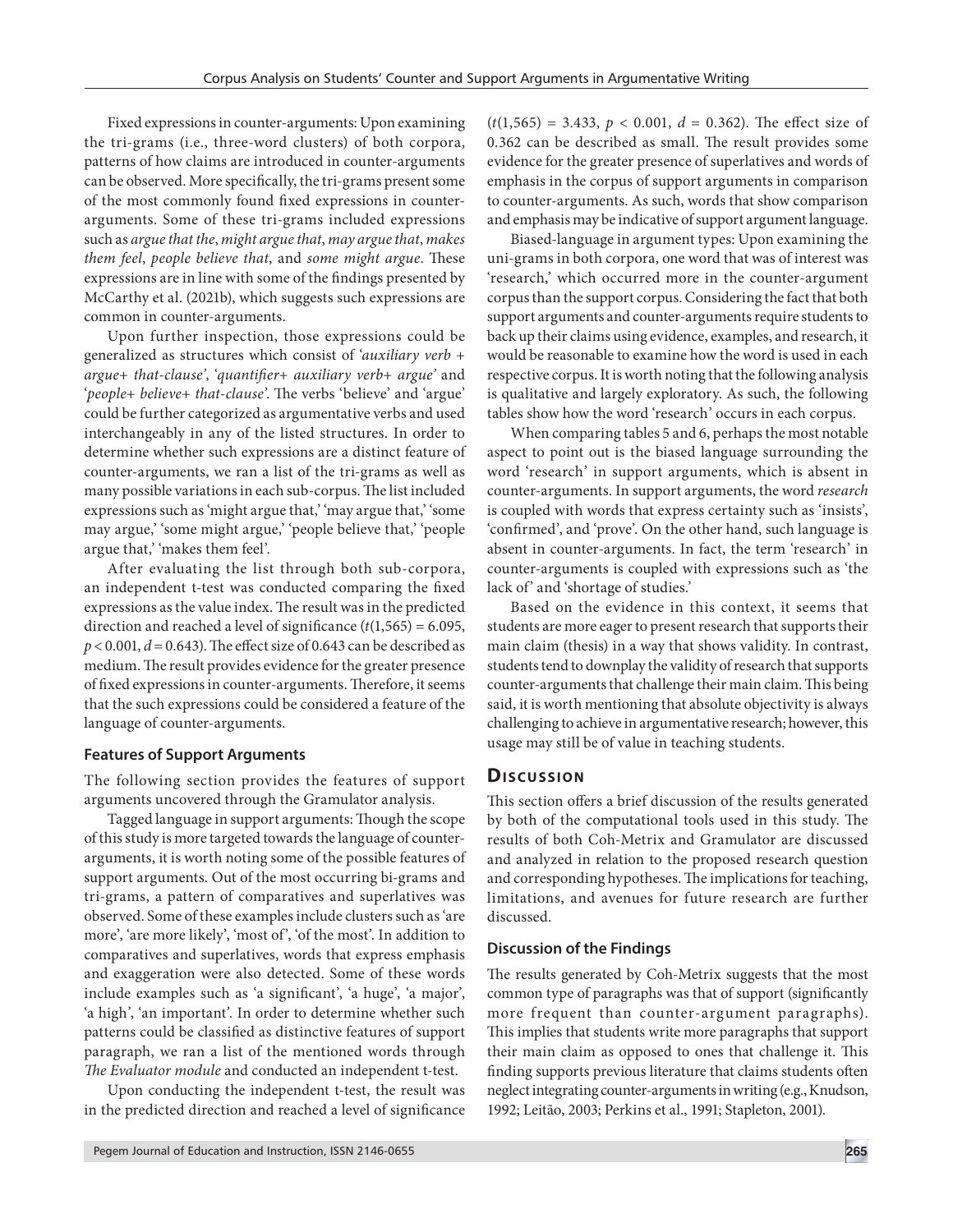Fixed expressions in counter-arguments: Upon examining the tri-grams (i.e., three-word clusters) of both corpora, patterns of how claims are introduced in counter-arguments can be observed. More specifically, the tri-grams present some of the most commonly found fixed expressions in counterarguments. Some of these tri-grams included expressions such as *argue that the*, *might argue that*, *may argue that*, *makes them feel*, *people believe that*, and *some might argue*. These expressions are in line with some of the findings presented by McCarthy et al. (2021b), which suggests such expressions are common in counter-arguments.

Upon further inspection, those expressions could be generalized as structures which consist of '*auxiliary verb* + *argue*+ *that*-*clause'*, '*quantifier*+ *auxiliary verb*+ *argue'* and '*people*+ *believe*+ *that*-*clause'*. The verbs 'believe' and 'argue' could be further categorized as argumentative verbs and used interchangeably in any of the listed structures. In order to determine whether such expressions are a distinct feature of counter-arguments, we ran a list of the tri-grams as well as many possible variations in each sub-corpus. The list included expressions such as 'might argue that,' 'may argue that,' 'some may argue,' 'some might argue,' 'people believe that,' 'people argue that,' 'makes them feel'.

After evaluating the list through both sub-corpora, an independent t-test was conducted comparing the fixed expressions as the value index. The result was in the predicted direction and reached a level of significance (*t*(1,565) = 6.095, *p* < 0.001, *d* = 0.643). The effect size of 0.643 can be described as medium. The result provides evidence for the greater presence of fixed expressions in counter-arguments. Therefore, it seems that the such expressions could be considered a feature of the language of counter-arguments.

#### **Features of Support Arguments**

The following section provides the features of support arguments uncovered through the Gramulator analysis.

Tagged language in support arguments: Though the scope of this study is more targeted towards the language of counterarguments, it is worth noting some of the possible features of support arguments. Out of the most occurring bi-grams and tri-grams, a pattern of comparatives and superlatives was observed. Some of these examples include clusters such as 'are more', 'are more likely', 'most of', 'of the most'. In addition to comparatives and superlatives, words that express emphasis and exaggeration were also detected. Some of these words include examples such as 'a significant', 'a huge', 'a major', 'a high', 'an important'. In order to determine whether such patterns could be classified as distinctive features of support paragraph, we ran a list of the mentioned words through *The Evaluator module* and conducted an independent t-test.

Upon conducting the independent t-test, the result was in the predicted direction and reached a level of significance  $(t(1,565) = 3.433, p < 0.001, d = 0.362)$ . The effect size of 0.362 can be described as small. The result provides some evidence for the greater presence of superlatives and words of emphasis in the corpus of support arguments in comparison to counter-arguments. As such, words that show comparison and emphasis may be indicative of support argument language.

Biased-language in argument types: Upon examining the uni-grams in both corpora, one word that was of interest was 'research,' which occurred more in the counter-argument corpus than the support corpus. Considering the fact that both support arguments and counter-arguments require students to back up their claims using evidence, examples, and research, it would be reasonable to examine how the word is used in each respective corpus. It is worth noting that the following analysis is qualitative and largely exploratory. As such, the following tables show how the word 'research' occurs in each corpus.

When comparing tables 5 and 6, perhaps the most notable aspect to point out is the biased language surrounding the word 'research' in support arguments, which is absent in counter-arguments. In support arguments, the word *research* is coupled with words that express certainty such as 'insists', 'confirmed', and 'prove'. On the other hand, such language is absent in counter-arguments. In fact, the term 'research' in counter-arguments is coupled with expressions such as 'the lack of' and 'shortage of studies.'

Based on the evidence in this context, it seems that students are more eager to present research that supports their main claim (thesis) in a way that shows validity. In contrast, students tend to downplay the validity of research that supports counter-arguments that challenge their main claim. This being said, it is worth mentioning that absolute objectivity is always challenging to achieve in argumentative research; however, this usage may still be of value in teaching students.

#### **Discussion**

This section offers a brief discussion of the results generated by both of the computational tools used in this study. The results of both Coh-Metrix and Gramulator are discussed and analyzed in relation to the proposed research question and corresponding hypotheses. The implications for teaching, limitations, and avenues for future research are further discussed.

#### **Discussion of the Findings**

The results generated by Coh-Metrix suggests that the most common type of paragraphs was that of support (significantly more frequent than counter-argument paragraphs). This implies that students write more paragraphs that support their main claim as opposed to ones that challenge it. This finding supports previous literature that claims students often neglect integrating counter-arguments in writing (e.g., Knudson, 1992; Leitão, 2003; Perkins et al., 1991; Stapleton, 2001).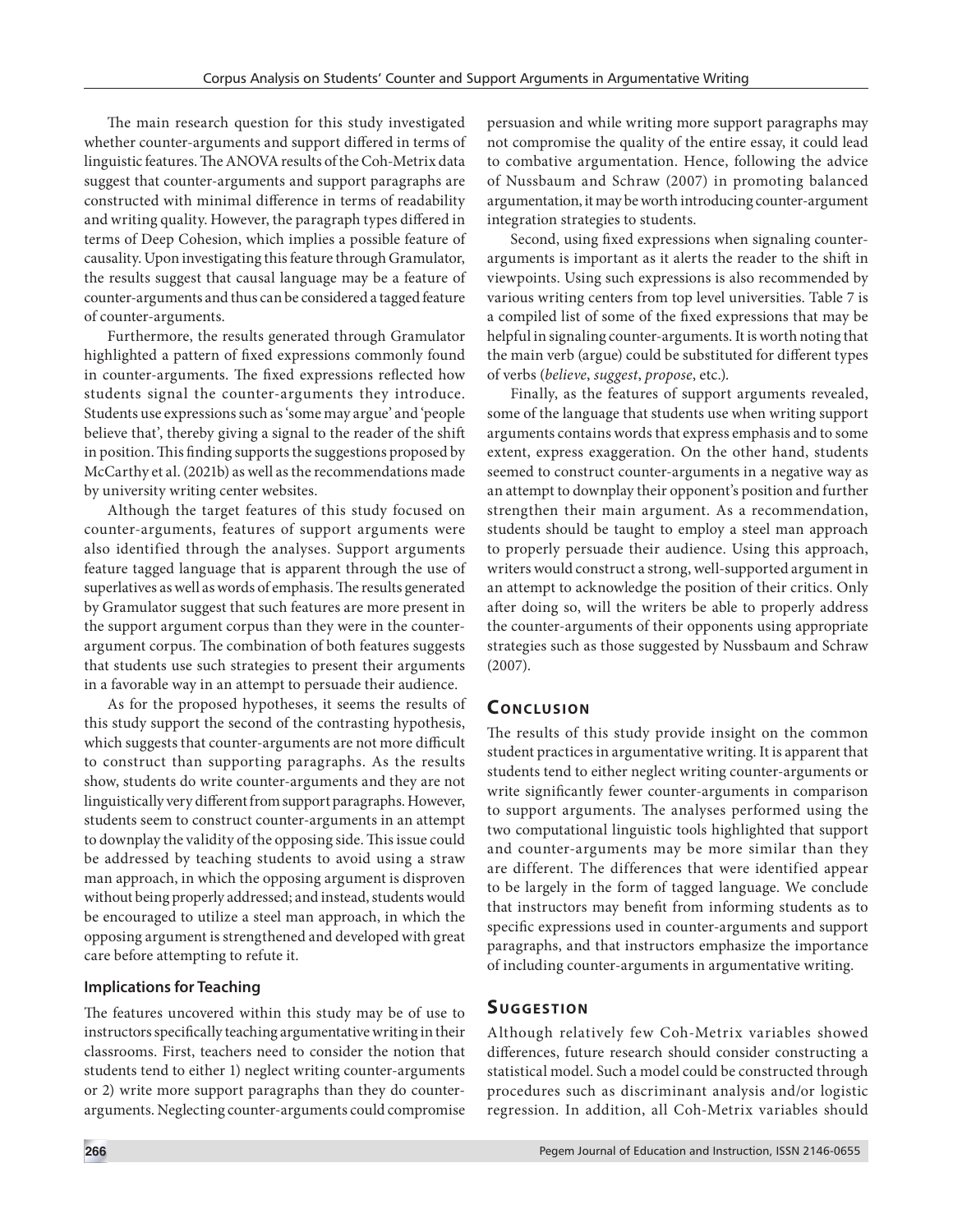The main research question for this study investigated whether counter-arguments and support differed in terms of linguistic features. The ANOVA results of the Coh-Metrix data suggest that counter-arguments and support paragraphs are constructed with minimal difference in terms of readability and writing quality. However, the paragraph types differed in terms of Deep Cohesion, which implies a possible feature of causality. Upon investigating this feature through Gramulator, the results suggest that causal language may be a feature of counter-arguments and thus can be considered a tagged feature of counter-arguments.

Furthermore, the results generated through Gramulator highlighted a pattern of fixed expressions commonly found in counter-arguments. The fixed expressions reflected how students signal the counter-arguments they introduce. Students use expressions such as 'some may argue' and 'people believe that', thereby giving a signal to the reader of the shift in position. This finding supports the suggestions proposed by McCarthy et al. (2021b) as well as the recommendations made by university writing center websites.

Although the target features of this study focused on counter-arguments, features of support arguments were also identified through the analyses. Support arguments feature tagged language that is apparent through the use of superlatives as well as words of emphasis. The results generated by Gramulator suggest that such features are more present in the support argument corpus than they were in the counterargument corpus. The combination of both features suggests that students use such strategies to present their arguments in a favorable way in an attempt to persuade their audience.

As for the proposed hypotheses, it seems the results of this study support the second of the contrasting hypothesis, which suggests that counter-arguments are not more difficult to construct than supporting paragraphs. As the results show, students do write counter-arguments and they are not linguistically very different from support paragraphs. However, students seem to construct counter-arguments in an attempt to downplay the validity of the opposing side. This issue could be addressed by teaching students to avoid using a straw man approach, in which the opposing argument is disproven without being properly addressed; and instead, students would be encouraged to utilize a steel man approach, in which the opposing argument is strengthened and developed with great care before attempting to refute it.

#### **Implications for Teaching**

The features uncovered within this study may be of use to instructors specifically teaching argumentative writing in their classrooms. First, teachers need to consider the notion that students tend to either 1) neglect writing counter-arguments or 2) write more support paragraphs than they do counterarguments. Neglecting counter-arguments could compromise persuasion and while writing more support paragraphs may not compromise the quality of the entire essay, it could lead to combative argumentation. Hence, following the advice of Nussbaum and Schraw (2007) in promoting balanced argumentation, it may be worth introducing counter-argument integration strategies to students.

Second, using fixed expressions when signaling counterarguments is important as it alerts the reader to the shift in viewpoints. Using such expressions is also recommended by various writing centers from top level universities. Table 7 is a compiled list of some of the fixed expressions that may be helpful in signaling counter-arguments. It is worth noting that the main verb (argue) could be substituted for different types of verbs (*believe*, *suggest*, *propose*, etc.).

Finally, as the features of support arguments revealed, some of the language that students use when writing support arguments contains words that express emphasis and to some extent, express exaggeration. On the other hand, students seemed to construct counter-arguments in a negative way as an attempt to downplay their opponent's position and further strengthen their main argument. As a recommendation, students should be taught to employ a steel man approach to properly persuade their audience. Using this approach, writers would construct a strong, well-supported argument in an attempt to acknowledge the position of their critics. Only after doing so, will the writers be able to properly address the counter-arguments of their opponents using appropriate strategies such as those suggested by Nussbaum and Schraw (2007).

# **CONCLUSION**

The results of this study provide insight on the common student practices in argumentative writing. It is apparent that students tend to either neglect writing counter-arguments or write significantly fewer counter-arguments in comparison to support arguments. The analyses performed using the two computational linguistic tools highlighted that support and counter-arguments may be more similar than they are different. The differences that were identified appear to be largely in the form of tagged language. We conclude that instructors may benefit from informing students as to specific expressions used in counter-arguments and support paragraphs, and that instructors emphasize the importance of including counter-arguments in argumentative writing.

# **SUGGESTION**

Although relatively few Coh-Metrix variables showed differences, future research should consider constructing a statistical model. Such a model could be constructed through procedures such as discriminant analysis and/or logistic regression. In addition, all Coh-Metrix variables should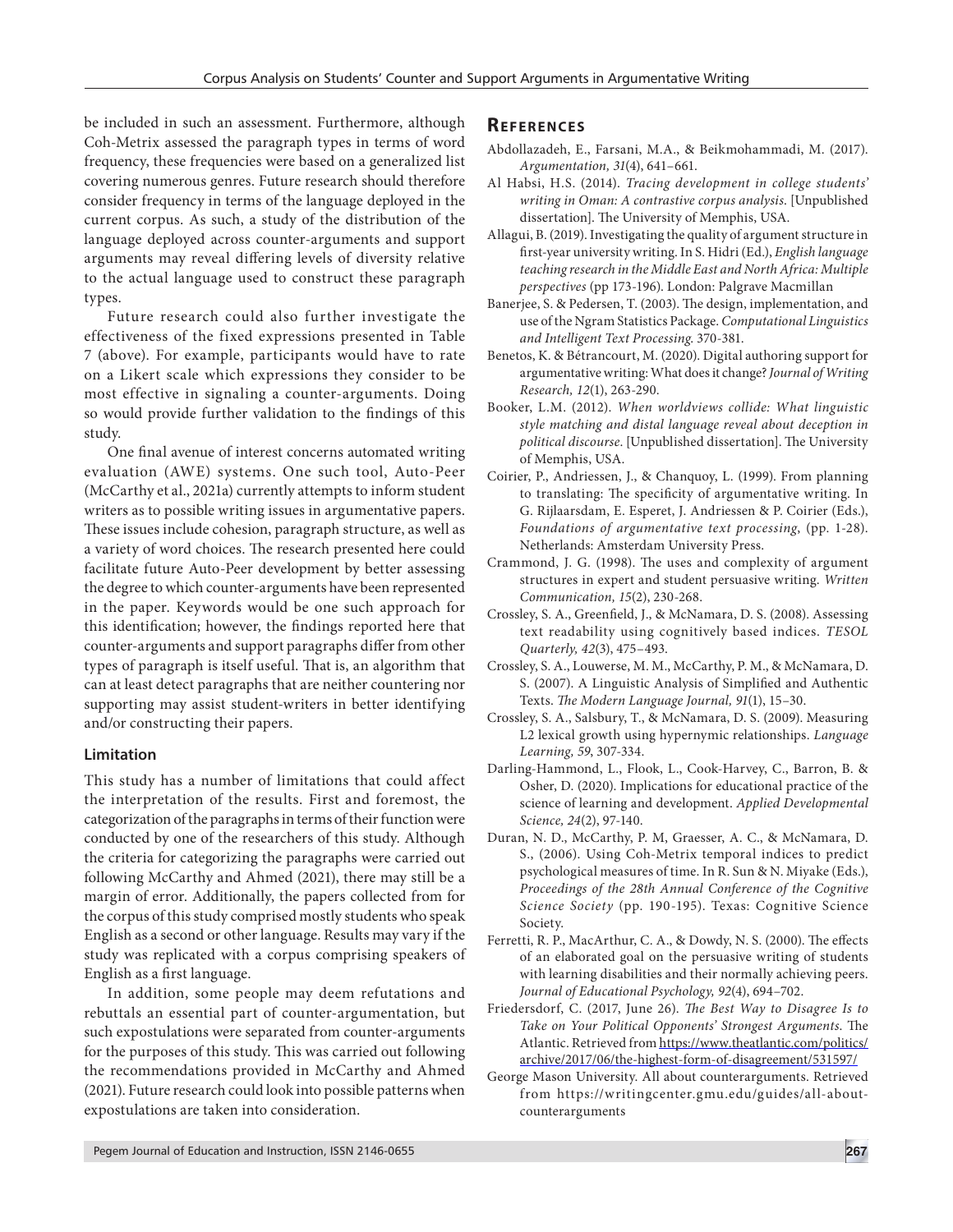be included in such an assessment. Furthermore, although Coh-Metrix assessed the paragraph types in terms of word frequency, these frequencies were based on a generalized list covering numerous genres. Future research should therefore consider frequency in terms of the language deployed in the current corpus. As such, a study of the distribution of the language deployed across counter-arguments and support arguments may reveal differing levels of diversity relative to the actual language used to construct these paragraph types.

Future research could also further investigate the effectiveness of the fixed expressions presented in Table 7 (above). For example, participants would have to rate on a Likert scale which expressions they consider to be most effective in signaling a counter-arguments. Doing so would provide further validation to the findings of this study.

One final avenue of interest concerns automated writing evaluation (AWE) systems. One such tool, Auto-Peer (McCarthy et al., 2021a) currently attempts to inform student writers as to possible writing issues in argumentative papers. These issues include cohesion, paragraph structure, as well as a variety of word choices. The research presented here could facilitate future Auto-Peer development by better assessing the degree to which counter-arguments have been represented in the paper. Keywords would be one such approach for this identification; however, the findings reported here that counter-arguments and support paragraphs differ from other types of paragraph is itself useful. That is, an algorithm that can at least detect paragraphs that are neither countering nor supporting may assist student-writers in better identifying and/or constructing their papers.

#### **Limitation**

This study has a number of limitations that could affect the interpretation of the results. First and foremost, the categorization of the paragraphs in terms of their function were conducted by one of the researchers of this study. Although the criteria for categorizing the paragraphs were carried out following McCarthy and Ahmed (2021), there may still be a margin of error. Additionally, the papers collected from for the corpus of this study comprised mostly students who speak English as a second or other language. Results may vary if the study was replicated with a corpus comprising speakers of English as a first language.

In addition, some people may deem refutations and rebuttals an essential part of counter-argumentation, but such expostulations were separated from counter-arguments for the purposes of this study. This was carried out following the recommendations provided in McCarthy and Ahmed (2021). Future research could look into possible patterns when expostulations are taken into consideration.

## **REFERENCES**

- Abdollazadeh, E., Farsani, M.A., & Beikmohammadi, M. (2017). *Argumentation, 31*(4), 641–661.
- Al Habsi, H.S. (2014). *Tracing development in college students' writing in Oman: A contrastive corpus analysis*. [Unpublished dissertation]. The University of Memphis, USA.
- Allagui, B. (2019). Investigating the quality of argument structure in first-year university writing. In S. Hidri (Ed.), *English language teaching research in the Middle East and North Africa: Multiple perspectives* (pp 173-196). London: Palgrave Macmillan
- Banerjee, S. & Pedersen, T. (2003). The design, implementation, and use of the Ngram Statistics Package. *Computational Linguistics and Intelligent Text Processing*. 370-381.
- Benetos, K. & Bétrancourt, M. (2020). Digital authoring support for argumentative writing: What does it change? *Journal of Writing Research, 12*(1), 263-290.
- Booker, L.M. (2012). *When worldviews collide: What linguistic style matching and distal language reveal about deception in political discourse*. [Unpublished dissertation]. The University of Memphis, USA.
- Coirier, P., Andriessen, J., & Chanquoy, L. (1999). From planning to translating: The specificity of argumentative writing. In G. Rijlaarsdam, E. Esperet, J. Andriessen & P. Coirier (Eds.), *Foundations of argumentative text processing*, (pp. 1-28). Netherlands: Amsterdam University Press.
- Crammond, J. G. (1998). The uses and complexity of argument structures in expert and student persuasive writing. *Written Communication, 15*(2), 230-268.
- Crossley, S. A., Greenfield, J., & McNamara, D. S. (2008). Assessing text readability using cognitively based indices. *TESOL Quarterly, 42*(3), 475–493.
- Crossley, S. A., Louwerse, M. M., McCarthy, P. M., & McNamara, D. S. (2007). A Linguistic Analysis of Simplified and Authentic Texts. *The Modern Language Journal, 91*(1), 15–30.
- Crossley, S. A., Salsbury, T., & McNamara, D. S. (2009). Measuring L2 lexical growth using hypernymic relationships. *Language Learning, 59*, 307-334.
- Darling-Hammond, L., Flook, L., Cook-Harvey, C., Barron, B. & Osher, D. (2020). Implications for educational practice of the science of learning and development. *Applied Developmental Science, 24*(2), 97-140.
- Duran, N. D., McCarthy, P. M, Graesser, A. C., & McNamara, D. S., (2006). Using Coh-Metrix temporal indices to predict psychological measures of time. In R. Sun & N. Miyake (Eds.), *Proceedings of the 28th Annual Conference of the Cognitive Science Society* (pp. 190-195). Texas: Cognitive Science Society.
- Ferretti, R. P., MacArthur, C. A., & Dowdy, N. S. (2000). The effects of an elaborated goal on the persuasive writing of students with learning disabilities and their normally achieving peers. *Journal of Educational Psychology, 92*(4), 694–702.
- Friedersdorf, C. (2017, June 26). *The Best Way to Disagree Is to Take on Your Political Opponents' Strongest Arguments*. The Atlantic. Retrieved from https://www.theatlantic.com/politics/ archive/2017/06/the-highest-form-of-disagreement/531597/
- George Mason University. All about counterarguments. Retrieved from https://writingcenter.gmu.edu/guides/all-aboutcounterarguments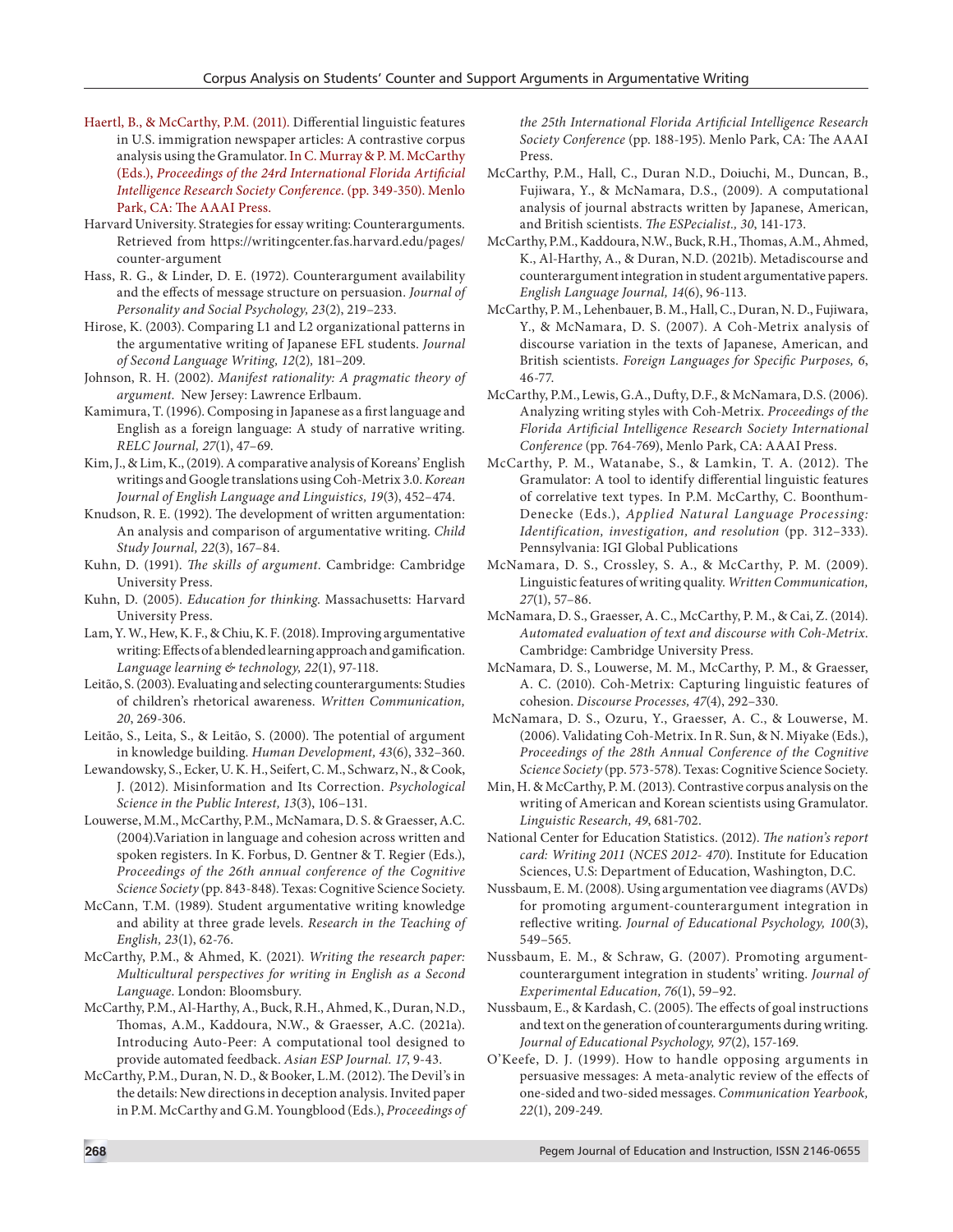- Haertl, B., & McCarthy, P.M. (2011). Differential linguistic features in U.S. immigration newspaper articles: A contrastive corpus analysis using the Gramulator. In C. Murray & P. M. McCarthy (Eds.), *Proceedings of the 24rd International Florida Artificial Intelligence Research Society Conference*. (pp. 349-350). Menlo Park, CA: The AAAI Press.
- Harvard University. Strategies for essay writing: Counterarguments. Retrieved from https://writingcenter.fas.harvard.edu/pages/ counter-argument
- Hass, R. G., & Linder, D. E. (1972). Counterargument availability and the effects of message structure on persuasion. *Journal of Personality and Social Psychology, 23*(2), 219–233.
- Hirose, K. (2003). Comparing L1 and L2 organizational patterns in the argumentative writing of Japanese EFL students. *Journal of Second Language Writing, 12*(2)*,* 181–209.
- Johnson, R. H. (2002). *Manifest rationality: A pragmatic theory of argument*. New Jersey: Lawrence Erlbaum.
- Kamimura, T. (1996). Composing in Japanese as a first language and English as a foreign language: A study of narrative writing. *RELC Journal, 27*(1), 47–69.
- Kim, J., & Lim, K., (2019). A comparative analysis of Koreans' English writings and Google translations using Coh-Metrix 3.0. *Korean Journal of English Language and Linguistics, 19*(3), 452–474.
- Knudson, R. E. (1992). The development of written argumentation: An analysis and comparison of argumentative writing. *Child Study Journal, 22*(3), 167–84.
- Kuhn, D. (1991). *The skills of argument*. Cambridge: Cambridge University Press.
- Kuhn, D. (2005). *Education for thinking*. Massachusetts: Harvard University Press.
- Lam, Y. W., Hew, K. F., & Chiu, K. F. (2018). Improving argumentative writing: Effects of a blended learning approach and gamification. *Language learning & technology, 22*(1), 97-118.
- Leitão, S. (2003). Evaluating and selecting counterarguments: Studies of children's rhetorical awareness. *Written Communication, 20*, 269-306.
- Leitão, S., Leita, S., & Leitão, S. (2000). The potential of argument in knowledge building. *Human Development, 43*(6), 332–360.
- Lewandowsky, S., Ecker, U. K. H., Seifert, C. M., Schwarz, N., & Cook, J. (2012). Misinformation and Its Correction. *Psychological Science in the Public Interest, 13*(3), 106–131.
- Louwerse, M.M., McCarthy, P.M., McNamara, D. S. & Graesser, A.C. (2004).Variation in language and cohesion across written and spoken registers. In K. Forbus, D. Gentner & T. Regier (Eds.), *Proceedings of the 26th annual conference of the Cognitive Science Society* (pp. 843-848). Texas: Cognitive Science Society.
- McCann, T.M. (1989). Student argumentative writing knowledge and ability at three grade levels. *Research in the Teaching of English, 23*(1), 62-76.
- McCarthy, P.M., & Ahmed, K. (2021). *Writing the research paper: Multicultural perspectives for writing in English as a Second Language*. London: Bloomsbury.
- McCarthy, P.M., Al-Harthy, A., Buck, R.H., Ahmed, K., Duran, N.D., Thomas, A.M., Kaddoura, N.W., & Graesser, A.C. (2021a). Introducing Auto-Peer: A computational tool designed to provide automated feedback. *Asian ESP Journal. 17*, 9-43.
- McCarthy, P.M., Duran, N. D., & Booker, L.M. (2012). The Devil's in the details: New directions in deception analysis. Invited paper in P.M. McCarthy and G.M. Youngblood (Eds.), *Proceedings of*

*the 25th International Florida Artificial Intelligence Research Society Conference* (pp. 188-195). Menlo Park, CA: The AAAI Press.

- McCarthy, P.M., Hall, C., Duran N.D., Doiuchi, M., Duncan, B., Fujiwara, Y., & McNamara, D.S., (2009). A computational analysis of journal abstracts written by Japanese, American, and British scientists. *The ESPecialist., 30*, 141-173.
- McCarthy, P.M., Kaddoura, N.W., Buck, R.H., Thomas, A.M., Ahmed, K., Al-Harthy, A., & Duran, N.D. (2021b). Metadiscourse and counterargument integration in student argumentative papers. *English Language Journal, 14*(6), 96-113.
- McCarthy, P. M., Lehenbauer, B. M., Hall, C., Duran, N. D., Fujiwara, Y., & McNamara, D. S. (2007). A Coh-Metrix analysis of discourse variation in the texts of Japanese, American, and British scientists. *Foreign Languages for Specific Purposes, 6*, 46-77.
- McCarthy, P.M., Lewis, G.A., Dufty, D.F., & McNamara, D.S. (2006). Analyzing writing styles with Coh-Metrix. *Proceedings of the Florida Artificial Intelligence Research Society International Conference* (pp. 764-769), Menlo Park, CA: AAAI Press.
- McCarthy, P. M., Watanabe, S., & Lamkin, T. A. (2012). The Gramulator: A tool to identify differential linguistic features of correlative text types. In P.M. McCarthy, C. Boonthum-Denecke (Eds.), *Applied Natural Language Processing: Identification, investigation, and resolution* (pp. 312–333). Pennsylvania: IGI Global Publications
- McNamara, D. S., Crossley, S. A., & McCarthy, P. M. (2009). Linguistic features of writing quality. *Written Communication, 27*(1), 57–86.
- McNamara, D. S., Graesser, A. C., McCarthy, P. M., & Cai, Z. (2014). *Automated evaluation of text and discourse with Coh-Metrix*. Cambridge: Cambridge University Press.
- McNamara, D. S., Louwerse, M. M., McCarthy, P. M., & Graesser, A. C. (2010). Coh-Metrix: Capturing linguistic features of cohesion. *Discourse Processes, 47*(4), 292–330.
- McNamara, D. S., Ozuru, Y., Graesser, A. C., & Louwerse, M. (2006). Validating Coh-Metrix. In R. Sun, & N. Miyake (Eds.), *Proceedings of the 28th Annual Conference of the Cognitive Science Society* (pp. 573-578). Texas: Cognitive Science Society.
- Min, H. & McCarthy, P. M. (2013). Contrastive corpus analysis on the writing of American and Korean scientists using Gramulator. *Linguistic Research, 49*, 681-702.
- National Center for Education Statistics. (2012). *The nation's report card: Writing 2011* (*NCES 2012- 470*). Institute for Education Sciences, U.S: Department of Education, Washington, D.C.
- Nussbaum, E. M. (2008). Using argumentation vee diagrams (AVDs) for promoting argument-counterargument integration in reflective writing. *Journal of Educational Psychology, 100*(3), 549–565.
- Nussbaum, E. M., & Schraw, G. (2007). Promoting argumentcounterargument integration in students' writing. *Journal of Experimental Education, 76*(1), 59–92.
- Nussbaum, E., & Kardash, C. (2005). The effects of goal instructions and text on the generation of counterarguments during writing. *Journal of Educational Psychology, 97*(2), 157-169.
- O'Keefe, D. J. (1999). How to handle opposing arguments in persuasive messages: A meta-analytic review of the effects of one-sided and two-sided messages. *Communication Yearbook, 22*(1), 209-249.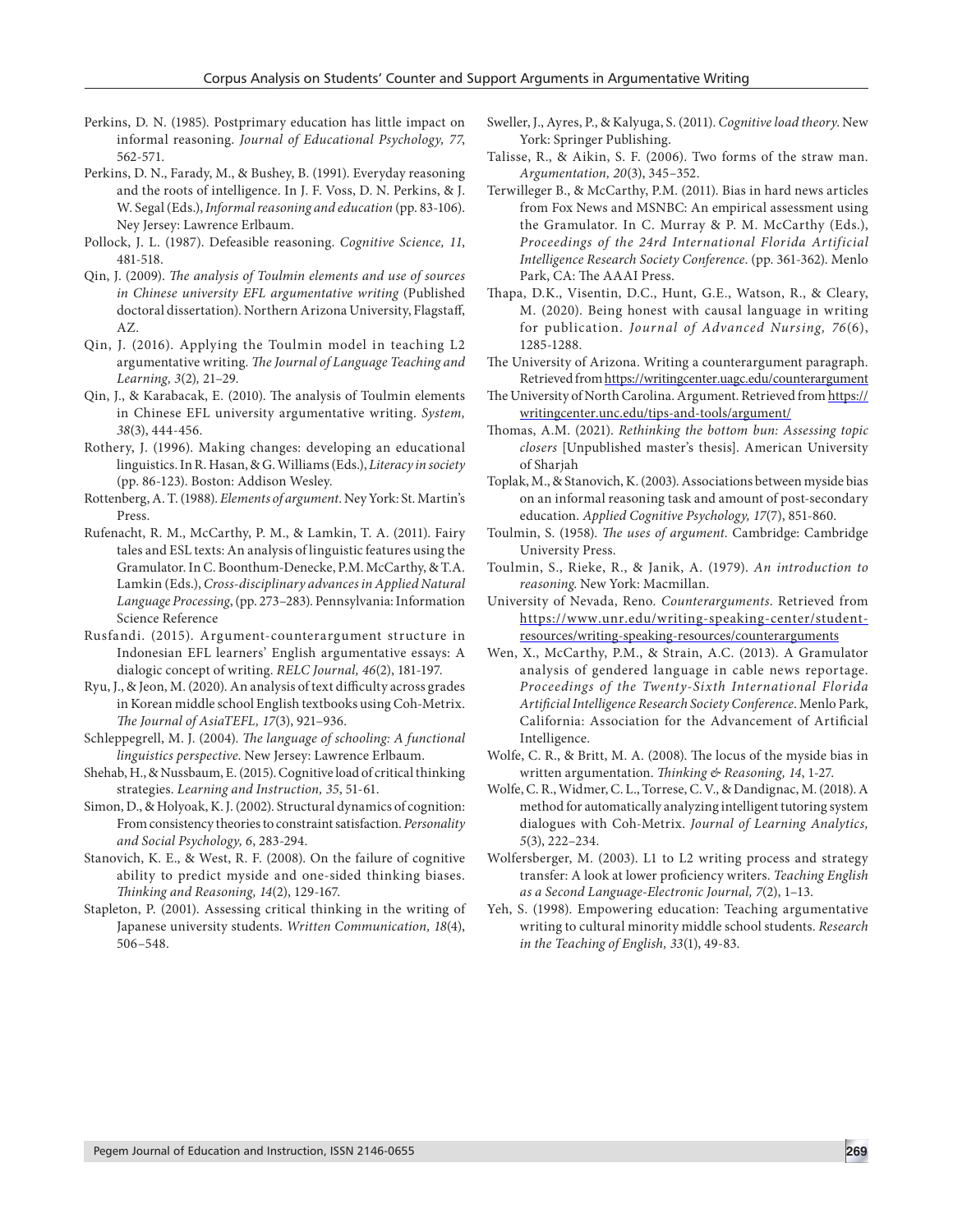- Perkins, D. N. (1985). Postprimary education has little impact on informal reasoning. *Journal of Educational Psychology, 77*, 562-571.
- Perkins, D. N., Farady, M., & Bushey, B. (1991). Everyday reasoning and the roots of intelligence. In J. F. Voss, D. N. Perkins, & J. W. Segal (Eds.), *Informal reasoning and education* (pp. 83-106). Ney Jersey: Lawrence Erlbaum.
- Pollock, J. L. (1987). Defeasible reasoning. *Cognitive Science, 11*, 481-518.
- Qin, J. (2009). *The analysis of Toulmin elements and use of sources in Chinese university EFL argumentative writing* (Published doctoral dissertation). Northern Arizona University, Flagstaff, AZ.
- Qin, J. (2016). Applying the Toulmin model in teaching L2 argumentative writing. *The Journal of Language Teaching and Learning, 3*(2)*,* 21–29.
- Qin, J., & Karabacak, E. (2010). The analysis of Toulmin elements in Chinese EFL university argumentative writing. *System, 38*(3), 444-456.
- Rothery, J. (1996). Making changes: developing an educational linguistics. In R. Hasan, & G. Williams (Eds.), *Literacy in society* (pp. 86-123). Boston: Addison Wesley.
- Rottenberg, A. T. (1988). *Elements of argument*. Ney York: St. Martin's Press.
- Rufenacht, R. M., McCarthy, P. M., & Lamkin, T. A. (2011). Fairy tales and ESL texts: An analysis of linguistic features using the Gramulator. In C. Boonthum-Denecke, P.M. McCarthy, & T.A. Lamkin (Eds.), *Cross-disciplinary advances in Applied Natural Language Processing*, (pp. 273–283). Pennsylvania: Information Science Reference
- Rusfandi. (2015). Argument-counterargument structure in Indonesian EFL learners' English argumentative essays: A dialogic concept of writing. *RELC Journal, 46*(2), 181-197.
- Ryu, J., & Jeon, M. (2020). An analysis of text difficulty across grades in Korean middle school English textbooks using Coh-Metrix. *The Journal of AsiaTEFL, 17*(3), 921–936.
- Schleppegrell, M. J. (2004). *The language of schooling: A functional linguistics perspective*. New Jersey: Lawrence Erlbaum.
- Shehab, H., & Nussbaum, E. (2015). Cognitive load of critical thinking strategies. *Learning and Instruction, 35*, 51-61.
- Simon, D., & Holyoak, K. J. (2002). Structural dynamics of cognition: From consistency theories to constraint satisfaction. *Personality and Social Psychology, 6*, 283-294.
- Stanovich, K. E., & West, R. F. (2008). On the failure of cognitive ability to predict myside and one-sided thinking biases. *Thinking and Reasoning, 14*(2), 129-167.
- Stapleton, P. (2001). Assessing critical thinking in the writing of Japanese university students. *Written Communication, 18*(4), 506–548.
- Sweller, J., Ayres, P., & Kalyuga, S. (2011). *Cognitive load theory*. New York: Springer Publishing.
- Talisse, R., & Aikin, S. F. (2006). Two forms of the straw man. *Argumentation, 20*(3), 345–352.
- Terwilleger B., & McCarthy, P.M. (2011). Bias in hard news articles from Fox News and MSNBC: An empirical assessment using the Gramulator. In C. Murray & P. M. McCarthy (Eds.), *Proceedings of the 24rd International Florida Artificial Intelligence Research Society Conference*. (pp. 361-362). Menlo Park, CA: The AAAI Press.
- Thapa, D.K., Visentin, D.C., Hunt, G.E., Watson, R., & Cleary, M. (2020). Being honest with causal language in writing for publication. *Journal of Advanced Nursing, 76*(6), 1285-1288.
- The University of Arizona. Writing a counterargument paragraph. Retrieved from https://writingcenter.uagc.edu/counterargument
- The University of North Carolina. Argument. Retrieved from https:// writingcenter.unc.edu/tips-and-tools/argument/
- Thomas, A.M. (2021). *Rethinking the bottom bun: Assessing topic closers* [Unpublished master's thesis]. American University of Sharjah
- Toplak, M., & Stanovich, K. (2003). Associations between myside bias on an informal reasoning task and amount of post-secondary education. *Applied Cognitive Psychology, 17*(7), 851-860.
- Toulmin, S. (1958). *The uses of argument*. Cambridge: Cambridge University Press.
- Toulmin, S., Rieke, R., & Janik, A. (1979). *An introduction to reasoning*. New York: Macmillan.
- University of Nevada, Reno. *Counterarguments*. Retrieved from https://www.unr.edu/writing-speaking-center/studentresources/writing-speaking-resources/counterarguments
- Wen, X., McCarthy, P.M., & Strain, A.C. (2013). A Gramulator analysis of gendered language in cable news reportage. *Proceedings of the Twenty-Sixth International Florida Artificial Intelligence Research Society Conference*. Menlo Park, California: Association for the Advancement of Artificial Intelligence.
- Wolfe, C. R., & Britt, M. A. (2008). The locus of the myside bias in written argumentation. *Thinking & Reasoning, 14*, 1-27.
- Wolfe, C. R., Widmer, C. L., Torrese, C. V., & Dandignac, M. (2018). A method for automatically analyzing intelligent tutoring system dialogues with Coh-Metrix. *Journal of Learning Analytics, 5*(3), 222–234.
- Wolfersberger, M. (2003). L1 to L2 writing process and strategy transfer: A look at lower proficiency writers. *Teaching English as a Second Language-Electronic Journal, 7*(2), 1–13.
- Yeh, S. (1998). Empowering education: Teaching argumentative writing to cultural minority middle school students. *Research in the Teaching of English, 33*(1), 49-83.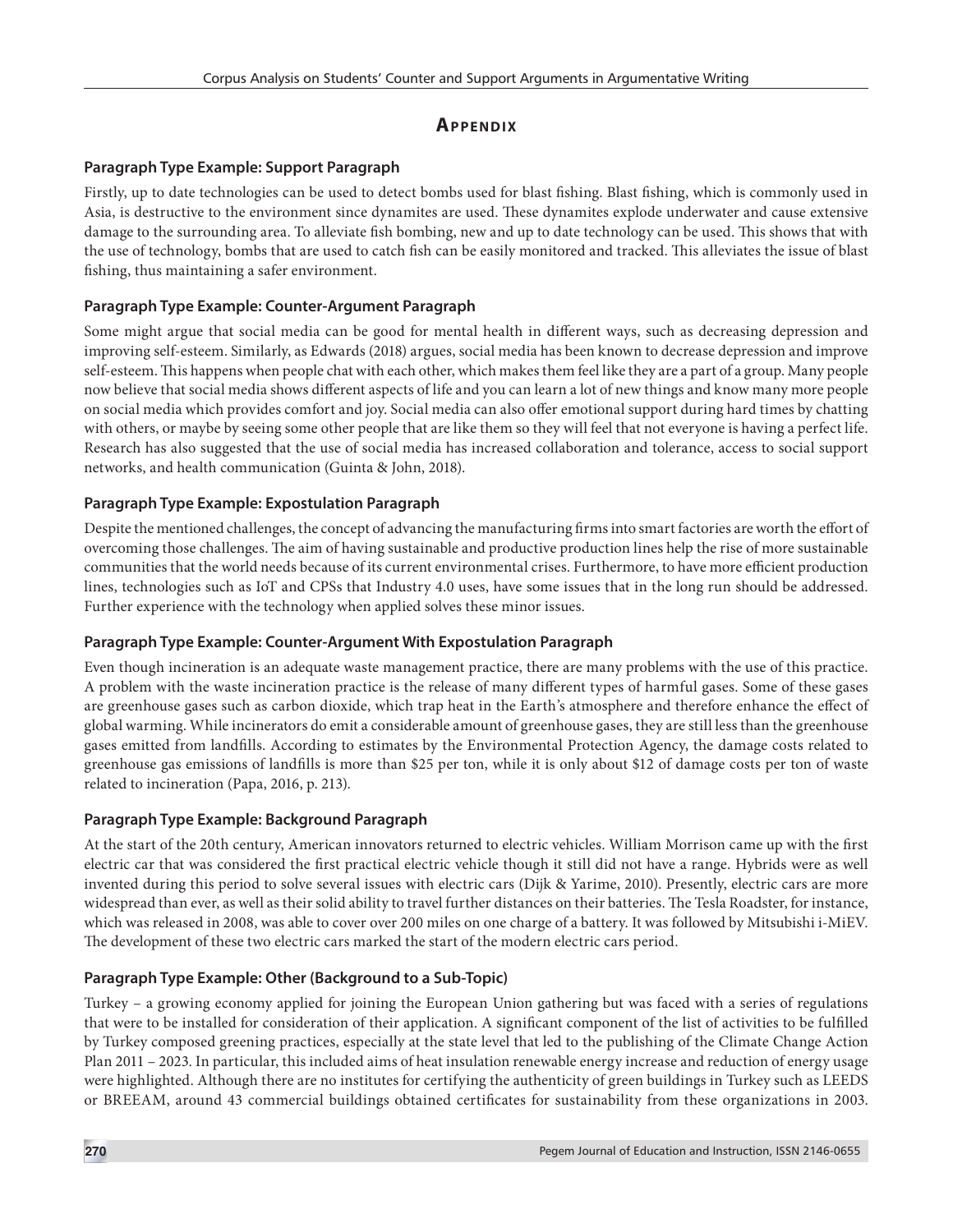# **Ap p e n dix**

# **Paragraph Type Example: Support Paragraph**

Firstly, up to date technologies can be used to detect bombs used for blast fishing. Blast fishing, which is commonly used in Asia, is destructive to the environment since dynamites are used. These dynamites explode underwater and cause extensive damage to the surrounding area. To alleviate fish bombing, new and up to date technology can be used. This shows that with the use of technology, bombs that are used to catch fish can be easily monitored and tracked. This alleviates the issue of blast fishing, thus maintaining a safer environment.

# **Paragraph Type Example: Counter-Argument Paragraph**

Some might argue that social media can be good for mental health in different ways, such as decreasing depression and improving self-esteem. Similarly, as Edwards (2018) argues, social media has been known to decrease depression and improve self-esteem. This happens when people chat with each other, which makes them feel like they are a part of a group. Many people now believe that social media shows different aspects of life and you can learn a lot of new things and know many more people on social media which provides comfort and joy. Social media can also offer emotional support during hard times by chatting with others, or maybe by seeing some other people that are like them so they will feel that not everyone is having a perfect life. Research has also suggested that the use of social media has increased collaboration and tolerance, access to social support networks, and health communication (Guinta & John, 2018).

# **Paragraph Type Example: Expostulation Paragraph**

Despite the mentioned challenges, the concept of advancing the manufacturing firms into smart factories are worth the effort of overcoming those challenges. The aim of having sustainable and productive production lines help the rise of more sustainable communities that the world needs because of its current environmental crises. Furthermore, to have more efficient production lines, technologies such as IoT and CPSs that Industry 4.0 uses, have some issues that in the long run should be addressed. Further experience with the technology when applied solves these minor issues.

# **Paragraph Type Example: Counter-Argument With Expostulation Paragraph**

Even though incineration is an adequate waste management practice, there are many problems with the use of this practice. A problem with the waste incineration practice is the release of many different types of harmful gases. Some of these gases are greenhouse gases such as carbon dioxide, which trap heat in the Earth's atmosphere and therefore enhance the effect of global warming. While incinerators do emit a considerable amount of greenhouse gases, they are still less than the greenhouse gases emitted from landfills. According to estimates by the Environmental Protection Agency, the damage costs related to greenhouse gas emissions of landfills is more than \$25 per ton, while it is only about \$12 of damage costs per ton of waste related to incineration (Papa, 2016, p. 213).

# **Paragraph Type Example: Background Paragraph**

At the start of the 20th century, American innovators returned to electric vehicles. William Morrison came up with the first electric car that was considered the first practical electric vehicle though it still did not have a range. Hybrids were as well invented during this period to solve several issues with electric cars (Dijk & Yarime, 2010). Presently, electric cars are more widespread than ever, as well as their solid ability to travel further distances on their batteries. The Tesla Roadster, for instance, which was released in 2008, was able to cover over 200 miles on one charge of a battery. It was followed by Mitsubishi i-MiEV. The development of these two electric cars marked the start of the modern electric cars period.

# **Paragraph Type Example: Other (Background to a Sub-Topic)**

Turkey – a growing economy applied for joining the European Union gathering but was faced with a series of regulations that were to be installed for consideration of their application. A significant component of the list of activities to be fulfilled by Turkey composed greening practices, especially at the state level that led to the publishing of the Climate Change Action Plan 2011 – 2023. In particular, this included aims of heat insulation renewable energy increase and reduction of energy usage were highlighted. Although there are no institutes for certifying the authenticity of green buildings in Turkey such as LEEDS or BREEAM, around 43 commercial buildings obtained certificates for sustainability from these organizations in 2003.